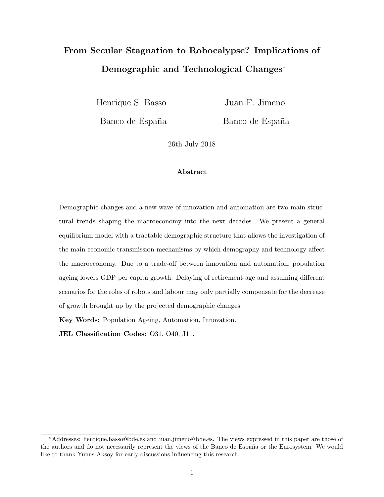# From Secular Stagnation to Robocalypse? Implications of Demographic and Technological Changes<sup>∗</sup>

Henrique S. Basso Juan F. Jimeno

Banco de España Banco de España

26th July 2018

#### Abstract

Demographic changes and a new wave of innovation and automation are two main structural trends shaping the macroeconomy into the next decades. We present a general equilibrium model with a tractable demographic structure that allows the investigation of the main economic transmission mechanisms by which demography and technology affect the macroeconomy. Due to a trade-off between innovation and automation, population ageing lowers GDP per capita growth. Delaying of retirement age and assuming different scenarios for the roles of robots and labour may only partially compensate for the decrease of growth brought up by the projected demographic changes.

Key Words: Population Ageing, Automation, Innovation.

JEL Classification Codes: O31, O40, J11.

<sup>∗</sup>Addresses: henrique.basso@bde.es and juan.jimeno@bde.es. The views expressed in this paper are those of the authors and do not necessarily represent the views of the Banco de España or the Eurosystem. We would like to thank Yunus Aksoy for early discussions influencing this research.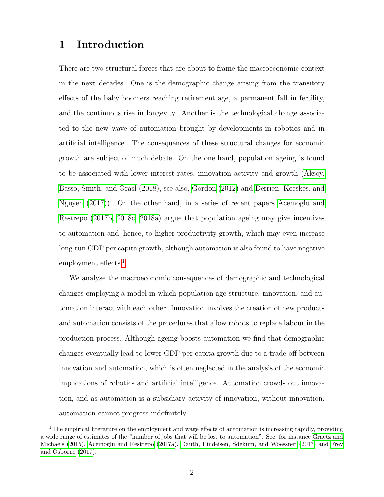# 1 Introduction

There are two structural forces that are about to frame the macroeconomic context in the next decades. One is the demographic change arising from the transitory effects of the baby boomers reaching retirement age, a permanent fall in fertility, and the continuous rise in longevity. Another is the technological change associated to the new wave of automation brought by developments in robotics and in artificial intelligence. The consequences of these structural changes for economic growth are subject of much debate. On the one hand, population ageing is found to be associated with lower interest rates, innovation activity and growth [\(Aksoy,](#page-31-0) [Basso, Smith, and Grasl](#page-31-0) [\(2018\)](#page-31-0), see also, [Gordon](#page-32-0) [\(2012\)](#page-32-0) and Derrien, Kecskés, and [Nguyen](#page-31-1) [\(2017\)](#page-31-1)). On the other hand, in a series of recent papers [Acemoglu and](#page-31-2) [Restrepo](#page-31-2) [\(2017b,](#page-31-2) [2018c,](#page-31-3) [2018a\)](#page-31-4) argue that population ageing may give incentives to automation and, hence, to higher productivity growth, which may even increase long-run GDP per capita growth, although automation is also found to have negative employment effects.<sup>[1](#page-1-0)</sup>

We analyse the macroeconomic consequences of demographic and technological changes employing a model in which population age structure, innovation, and automation interact with each other. Innovation involves the creation of new products and automation consists of the procedures that allow robots to replace labour in the production process. Although ageing boosts automation we find that demographic changes eventually lead to lower GDP per capita growth due to a trade-off between innovation and automation, which is often neglected in the analysis of the economic implications of robotics and artificial intelligence. Automation crowds out innovation, and as automation is a subsidiary activity of innovation, without innovation, automation cannot progress indefinitely.

<span id="page-1-0"></span><sup>&</sup>lt;sup>1</sup>The empirical literature on the employment and wage effects of automation is increasing rapidly, providing a wide range of estimates of the "number of jobs that will be lost to automation". See, for instance [Graetz and](#page-32-1) [Michaels](#page-32-1) [\(2015\)](#page-32-1), [Acemoglu and Restrepo](#page-31-5) [\(2017a\)](#page-31-5), [Dauth, Findeisen, Sdekum, and Woessner](#page-31-6) [\(2017\)](#page-31-6) and [Frey](#page-31-7) [and Osborne](#page-31-7) [\(2017\)](#page-31-7).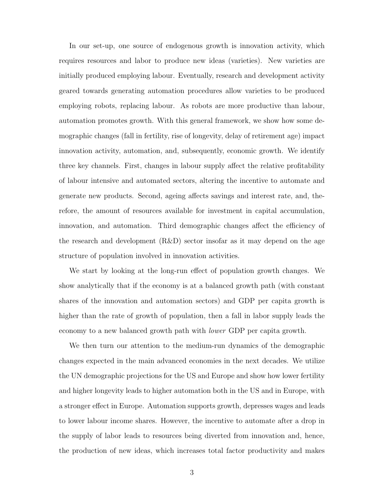In our set-up, one source of endogenous growth is innovation activity, which requires resources and labor to produce new ideas (varieties). New varieties are initially produced employing labour. Eventually, research and development activity geared towards generating automation procedures allow varieties to be produced employing robots, replacing labour. As robots are more productive than labour, automation promotes growth. With this general framework, we show how some demographic changes (fall in fertility, rise of longevity, delay of retirement age) impact innovation activity, automation, and, subsequently, economic growth. We identify three key channels. First, changes in labour supply affect the relative profitability of labour intensive and automated sectors, altering the incentive to automate and generate new products. Second, ageing affects savings and interest rate, and, therefore, the amount of resources available for investment in capital accumulation, innovation, and automation. Third demographic changes affect the efficiency of the research and development (R&D) sector insofar as it may depend on the age structure of population involved in innovation activities.

We start by looking at the long-run effect of population growth changes. We show analytically that if the economy is at a balanced growth path (with constant shares of the innovation and automation sectors) and GDP per capita growth is higher than the rate of growth of population, then a fall in labor supply leads the economy to a new balanced growth path with lower GDP per capita growth.

We then turn our attention to the medium-run dynamics of the demographic changes expected in the main advanced economies in the next decades. We utilize the UN demographic projections for the US and Europe and show how lower fertility and higher longevity leads to higher automation both in the US and in Europe, with a stronger effect in Europe. Automation supports growth, depresses wages and leads to lower labour income shares. However, the incentive to automate after a drop in the supply of labor leads to resources being diverted from innovation and, hence, the production of new ideas, which increases total factor productivity and makes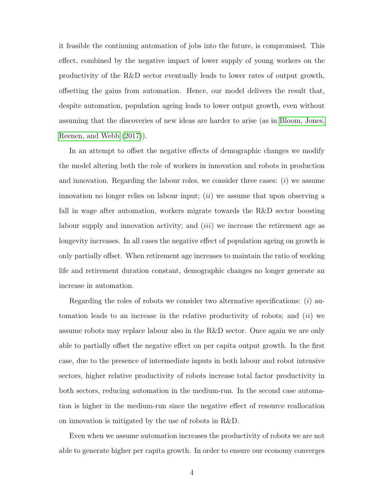it feasible the continuing automation of jobs into the future, is compromised. This effect, combined by the negative impact of lower supply of young workers on the productivity of the R&D sector eventually leads to lower rates of output growth, offsetting the gains from automation. Hence, our model delivers the result that, despite automation, population ageing leads to lower output growth, even without assuming that the discoveries of new ideas are harder to arise (as in [Bloom, Jones,](#page-31-8) [Reenen, and Webb](#page-31-8) [\(2017\)](#page-31-8)).

In an attempt to offset the negative effects of demographic changes we modify the model altering both the role of workers in innovation and robots in production and innovation. Regarding the labour roles, we consider three cases:  $(i)$  we assume innovation no longer relies on labour input;  $(ii)$  we assume that upon observing a fall in wage after automation, workers migrate towards the R&D sector boosting labour supply and innovation activity; and  $(iii)$  we increase the retirement age as longevity increases. In all cases the negative effect of population ageing on growth is only partially offset. When retirement age increases to maintain the ratio of working life and retirement duration constant, demographic changes no longer generate an increase in automation.

Regarding the roles of robots we consider two alternative specifications:  $(i)$  automation leads to an increase in the relative productivity of robots; and  $(ii)$  we assume robots may replace labour also in the R&D sector. Once again we are only able to partially offset the negative effect on per capita output growth. In the first case, due to the presence of intermediate inputs in both labour and robot intensive sectors, higher relative productivity of robots increase total factor productivity in both sectors, reducing automation in the medium-run. In the second case automation is higher in the medium-run since the negative effect of resource reallocation on innovation is mitigated by the use of robots in R&D.

Even when we assume automation increases the productivity of robots we are not able to generate higher per capita growth. In order to ensure our economy converges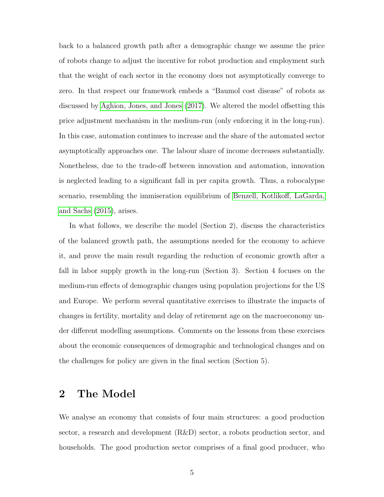back to a balanced growth path after a demographic change we assume the price of robots change to adjust the incentive for robot production and employment such that the weight of each sector in the economy does not asymptotically converge to zero. In that respect our framework embeds a "Baumol cost disease" of robots as discussed by [Aghion, Jones, and Jones](#page-31-9) [\(2017\)](#page-31-9). We altered the model offsetting this price adjustment mechanism in the medium-run (only enforcing it in the long-run). In this case, automation continues to increase and the share of the automated sector asymptotically approaches one. The labour share of income decreases substantially. Nonetheless, due to the trade-off between innovation and automation, innovation is neglected leading to a significant fall in per capita growth. Thus, a robocalypse scenario, resembling the immiseration equilibrium of [Benzell, Kotlikoff, LaGarda,](#page-31-10) [and Sachs](#page-31-10) [\(2015\)](#page-31-10), arises.

In what follows, we describe the model (Section 2), discuss the characteristics of the balanced growth path, the assumptions needed for the economy to achieve it, and prove the main result regarding the reduction of economic growth after a fall in labor supply growth in the long-run (Section 3). Section 4 focuses on the medium-run effects of demographic changes using population projections for the US and Europe. We perform several quantitative exercises to illustrate the impacts of changes in fertility, mortality and delay of retirement age on the macroeconomy under different modelling assumptions. Comments on the lessons from these exercises about the economic consequences of demographic and technological changes and on the challenges for policy are given in the final section (Section 5).

## 2 The Model

We analyse an economy that consists of four main structures: a good production sector, a research and development (R&D) sector, a robots production sector, and households. The good production sector comprises of a final good producer, who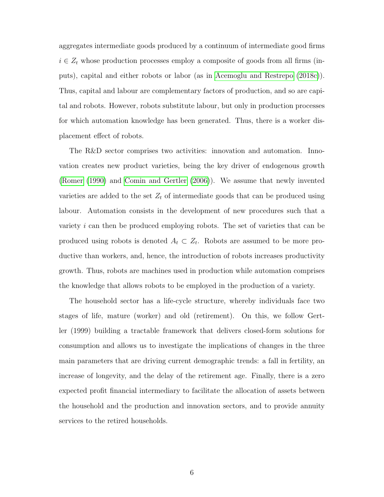aggregates intermediate goods produced by a continuum of intermediate good firms  $i \in Z_t$  whose production processes employ a composite of goods from all firms (inputs), capital and either robots or labor (as in [Acemoglu and Restrepo](#page-31-3) [\(2018c\)](#page-31-3)). Thus, capital and labour are complementary factors of production, and so are capital and robots. However, robots substitute labour, but only in production processes for which automation knowledge has been generated. Thus, there is a worker displacement effect of robots.

The R&D sector comprises two activities: innovation and automation. Innovation creates new product varieties, being the key driver of endogenous growth [\(Romer](#page-32-2) [\(1990\)](#page-32-2) and [Comin and Gertler](#page-31-11) [\(2006\)](#page-31-11)). We assume that newly invented varieties are added to the set  $Z_t$  of intermediate goods that can be produced using labour. Automation consists in the development of new procedures such that a variety  $i$  can then be produced employing robots. The set of varieties that can be produced using robots is denoted  $A_t \subset Z_t$ . Robots are assumed to be more productive than workers, and, hence, the introduction of robots increases productivity growth. Thus, robots are machines used in production while automation comprises the knowledge that allows robots to be employed in the production of a variety.

The household sector has a life-cycle structure, whereby individuals face two stages of life, mature (worker) and old (retirement). On this, we follow Gertler (1999) building a tractable framework that delivers closed-form solutions for consumption and allows us to investigate the implications of changes in the three main parameters that are driving current demographic trends: a fall in fertility, an increase of longevity, and the delay of the retirement age. Finally, there is a zero expected profit financial intermediary to facilitate the allocation of assets between the household and the production and innovation sectors, and to provide annuity services to the retired households.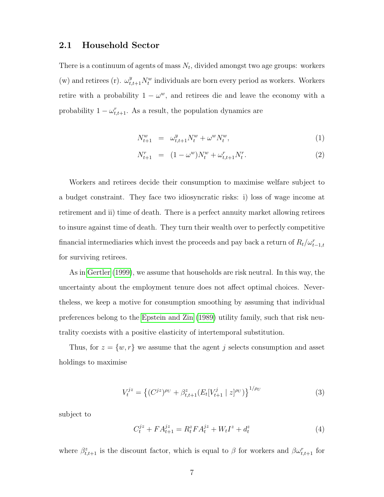### 2.1 Household Sector

There is a continuum of agents of mass  $N_t$ , divided amongst two age groups: workers (w) and retirees (r).  $\omega_{t,t+1}^{y} N_t^w$  individuals are born every period as workers. Workers retire with a probability  $1 - \omega^w$ , and retirees die and leave the economy with a probability  $1 - \omega_{t,t+1}^r$ . As a result, the population dynamics are

$$
N_{t+1}^w = \omega_{t,t+1}^y N_t^w + \omega^w N_t^w, \tag{1}
$$

$$
N_{t+1}^r = (1 - \omega^w) N_t^w + \omega_{t,t+1}^r N_t^r. \tag{2}
$$

Workers and retirees decide their consumption to maximise welfare subject to a budget constraint. They face two idiosyncratic risks: i) loss of wage income at retirement and ii) time of death. There is a perfect annuity market allowing retirees to insure against time of death. They turn their wealth over to perfectly competitive financial intermediaries which invest the proceeds and pay back a return of  $R_t/\omega_{t-1,t}^r$ for surviving retirees.

As in [Gertler](#page-31-12) [\(1999\)](#page-31-12), we assume that households are risk neutral. In this way, the uncertainty about the employment tenure does not affect optimal choices. Nevertheless, we keep a motive for consumption smoothing by assuming that individual preferences belong to the [Epstein and Zin](#page-31-13) [\(1989\)](#page-31-13) utility family, such that risk neutrality coexists with a positive elasticity of intertemporal substitution.

Thus, for  $z = \{w, r\}$  we assume that the agent j selects consumption and asset holdings to maximise

$$
V_t^{jz} = \left\{ (C^{jz})^{\rho_U} + \beta_{t,t+1}^z (E_t[V_{t+1}^j \mid z]^{\rho_U}) \right\}^{1/\rho_U}
$$
(3)

subject to

$$
C_t^{jz} + FA_{t+1}^{jz} = R_t^z F A_t^{jz} + W_t I^z + d_t^z
$$
\n(4)

where  $\beta_{t,t+1}^z$  is the discount factor, which is equal to  $\beta$  for workers and  $\beta \omega_{t,t+1}^r$  for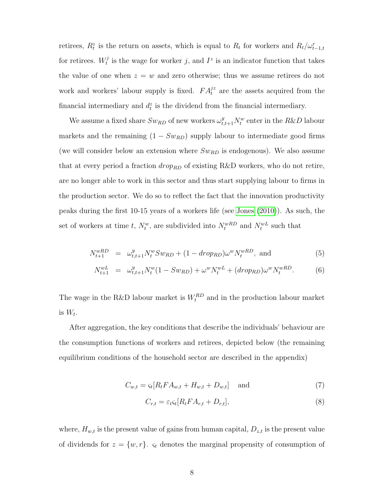retirees,  $R_t^z$  is the return on assets, which is equal to  $R_t$  for workers and  $R_t/\omega_{t-1,t}^r$ for retirees.  $W_t^j$  $t_i^j$  is the wage for worker j, and  $I^z$  is an indicator function that takes the value of one when  $z = w$  and zero otherwise; thus we assume retirees do not work and workers' labour supply is fixed.  $FA_t^{jz}$  are the assets acquired from the financial intermediary and  $d_t^z$  is the dividend from the financial intermediary.

We assume a fixed share  $Sw_{RD}$  of new workers  $\omega_{t,t+1}^y N_t^w$  enter in the  $R\&D$  labour markets and the remaining  $(1 - Sw_{RD})$  supply labour to intermediate good firms (we will consider below an extension where  $Sw_{RD}$  is endogenous). We also assume that at every period a fraction  $drop_{RD}$  of existing R&D workers, who do not retire, are no longer able to work in this sector and thus start supplying labour to firms in the production sector. We do so to reflect the fact that the innovation productivity peaks during the first 10-15 years of a workers life (see [Jones](#page-32-3) [\(2010\)](#page-32-3)). As such, the set of workers at time t,  $N_t^w$ , are subdivided into  $N_t^{wRD}$  and  $N_t^{wL}$  such that

$$
N_{t+1}^{wRD} = \omega_{t,t+1}^y N_t^w S w_{RD} + (1 - d_{\text{top}}^w) \omega^w N_t^{wRD}, \text{ and} \tag{5}
$$

$$
N_{t+1}^{wL} = \omega_{t,t+1}^y N_t^w (1 - Sw_{RD}) + \omega^w N_t^{wL} + (drop_{RD}) \omega^w N_t^{wRD}.
$$
 (6)

The wage in the R&D labour market is  $W_t^{RD}$  and in the production labour market is  $W_t$ .

After aggregation, the key conditions that describe the individuals' behaviour are the consumption functions of workers and retirees, depicted below (the remaining equilibrium conditions of the household sector are described in the appendix)

$$
C_{w,t} = \varsigma_t [R_t F A_{w,t} + H_{w,t} + D_{w,t}] \quad \text{and} \tag{7}
$$

$$
C_{r,t} = \varepsilon_t \varsigma_t [R_t F A_{r,t} + D_{r,t}], \tag{8}
$$

where,  $H_{w,t}$  is the present value of gains from human capital,  $D_{z,t}$  is the present value of dividends for  $z = \{w, r\}$ .  $\varsigma_t$  denotes the marginal propensity of consumption of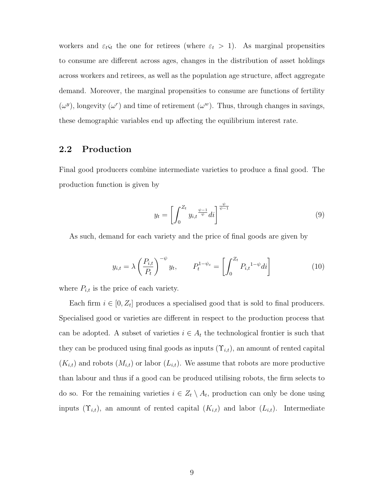workers and  $\varepsilon_t s_t$  the one for retirees (where  $\varepsilon_t > 1$ ). As marginal propensities to consume are different across ages, changes in the distribution of asset holdings across workers and retirees, as well as the population age structure, affect aggregate demand. Moreover, the marginal propensities to consume are functions of fertility  $(\omega^y)$ , longevity  $(\omega^r)$  and time of retirement  $(\omega^w)$ . Thus, through changes in savings, these demographic variables end up affecting the equilibrium interest rate.

### 2.2 Production

Final good producers combine intermediate varieties to produce a final good. The production function is given by

$$
y_t = \left[ \int_0^{Z_t} y_{i,t}^{\frac{\psi - 1}{\psi}} dt \right]^{\frac{\psi}{\psi - 1}}
$$
(9)

As such, demand for each variety and the price of final goods are given by

$$
y_{i,t} = \lambda \left(\frac{P_{i,t}}{P_t}\right)^{-\psi} y_t, \qquad P_t^{1-\psi_c} = \left[\int_0^{Z_t} P_{i,t}^{1-\psi} dt\right]
$$
(10)

where  $P_{i,t}$  is the price of each variety.

Each firm  $i \in [0, Z_t]$  produces a specialised good that is sold to final producers. Specialised good or varieties are different in respect to the production process that can be adopted. A subset of varieties  $i \in A_t$  the technological frontier is such that they can be produced using final goods as inputs  $(\Upsilon_{i,t})$ , an amount of rented capital  $(K_{i,t})$  and robots  $(M_{i,t})$  or labor  $(L_{i,t})$ . We assume that robots are more productive than labour and thus if a good can be produced utilising robots, the firm selects to do so. For the remaining varieties  $i \in Z_t \setminus A_t$ , production can only be done using inputs  $(\Upsilon_{i,t})$ , an amount of rented capital  $(K_{i,t})$  and labor  $(L_{i,t})$ . Intermediate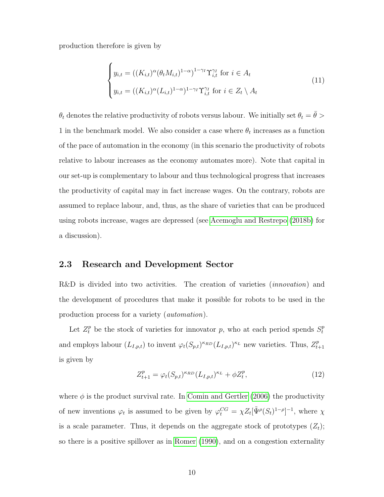production therefore is given by

$$
\begin{cases}\ny_{i,t} = ((K_{i,t})^{\alpha}(\theta_t M_{i,t})^{1-\alpha})^{1-\gamma_I} \Upsilon_{i,t}^{\gamma_I} \text{ for } i \in A_t \\
y_{i,t} = ((K_{i,t})^{\alpha} (L_{i,t})^{1-\alpha})^{1-\gamma_I} \Upsilon_{i,t}^{\gamma_I} \text{ for } i \in Z_t \setminus A_t\n\end{cases} \tag{11}
$$

 $\theta_t$  denotes the relative productivity of robots versus labour. We initially set  $\theta_t = \bar{\theta} >$ 1 in the benchmark model. We also consider a case where  $\theta_t$  increases as a function of the pace of automation in the economy (in this scenario the productivity of robots relative to labour increases as the economy automates more). Note that capital in our set-up is complementary to labour and thus technological progress that increases the productivity of capital may in fact increase wages. On the contrary, robots are assumed to replace labour, and, thus, as the share of varieties that can be produced using robots increase, wages are depressed (see [Acemoglu and Restrepo](#page-31-14) [\(2018b\)](#page-31-14) for a discussion).

#### 2.3 Research and Development Sector

R&D is divided into two activities. The creation of varieties *(innovation)* and the development of procedures that make it possible for robots to be used in the production process for a variety (automation).

Let  $Z_t^p$  be the stock of varieties for innovator p, who at each period spends  $S_t^p$ t and employs labour  $(L_{I,p,t})$  to invent  $\varphi_t(S_{p,t})^{\kappa_{RD}}(L_{I,p,t})^{\kappa_L}$  new varieties. Thus,  $Z_t^p$ .  $t+1$ is given by

<span id="page-9-0"></span>
$$
Z_{t+1}^p = \varphi_t(S_{p,t})^{\kappa_{RD}} (L_{I,p,t})^{\kappa_L} + \phi Z_t^p, \tag{12}
$$

where  $\phi$  is the product survival rate. In [Comin and Gertler](#page-31-11) [\(2006\)](#page-31-11) the productivity of new inventions  $\varphi_t$  is assumed to be given by  $\varphi_t^{CG} = \chi Z_t[\tilde{\Psi}^{\rho}(S_t)^{1-\rho}]^{-1}$ , where  $\chi$ is a scale parameter. Thus, it depends on the aggregate stock of prototypes  $(Z_t)$ ; so there is a positive spillover as in [Romer](#page-32-2) [\(1990\)](#page-32-2), and on a congestion externality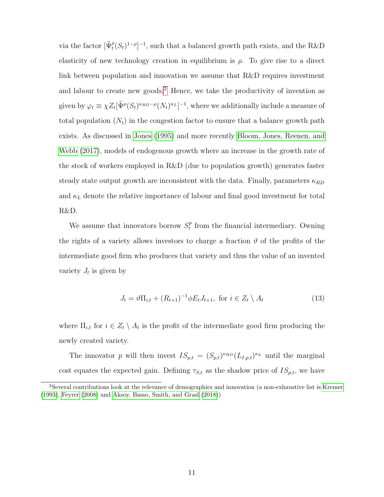via the factor  $[\tilde{\Psi}_t^{\rho}(S_t)^{1-\rho}]^{-1}$ , such that a balanced growth path exists, and the R&D elasticity of new technology creation in equilibrium is  $\rho$ . To give rise to a direct link between population and innovation we assume that R&D requires investment and labour to create new goods.<sup>[2](#page-10-0)</sup> Hence, we take the productivity of invention as given by  $\varphi_t \equiv \chi Z_t [\tilde{\Psi}^{\rho} (S_t)^{\kappa_{RD}-\rho} (N_t)^{\kappa_L}]^{-1}$ , where we additionally include a measure of total population  $(N_t)$  in the congestion factor to ensure that a balance growth path exists. As discussed in [Jones](#page-32-4) [\(1995\)](#page-32-4) and more recently [Bloom, Jones, Reenen, and](#page-31-8) [Webb](#page-31-8) [\(2017\)](#page-31-8), models of endogenous growth where an increase in the growth rate of the stock of workers employed in R&D (due to population growth) generates faster steady state output growth are inconsistent with the data. Finally, parameters  $\kappa_{RD}$ and  $\kappa_L$  denote the relative importance of labour and final good investment for total R&D.

We assume that innovators borrow  $S_t^p$  $t<sub>t</sub><sup>p</sup>$  from the financial intermediary. Owning the rights of a variety allows investors to charge a fraction  $\vartheta$  of the profits of the intermediate good firm who produces that variety and thus the value of an invented variety  $J_t$  is given by

$$
J_t = \vartheta \Pi_{i,t} + (R_{t+1})^{-1} \varphi E_t J_{t+1}, \text{ for } i \in Z_t \setminus A_t \tag{13}
$$

where  $\Pi_{i,t}$  for  $i \in Z_t \setminus A_t$  is the profit of the intermediate good firm producing the newly created variety.

The innovator p will then invest  $IS_{p,t} = (S_{p,t})^{\kappa_{RD}} (L_{I,p,t})^{\kappa_L}$  until the marginal cost equates the expected gain. Defining  $\tau_{S,t}$  as the shadow price of  $IS_{p,t}$ , we have

<span id="page-10-0"></span><sup>2</sup>Several contributions look at the relevance of demographics and innovation (a non-exhaustive list is [Kremer](#page-32-5) [\(1993\)](#page-32-5), [Feyrer](#page-31-15) [\(2008\)](#page-31-15) and [Aksoy, Basso, Smith, and Grasl](#page-31-0) [\(2018\)](#page-31-0))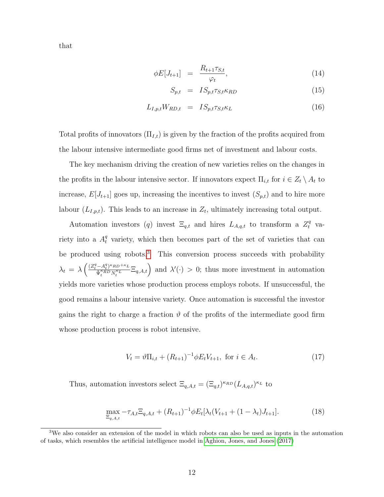that

<span id="page-11-1"></span>
$$
\phi E[J_{t+1}] = \frac{R_{t+1}\tau_{S,t}}{\varphi_t},\tag{14}
$$

$$
S_{p,t} = IS_{p,t} \tau_{S,t} \kappa_{RD} \tag{15}
$$

$$
L_{I,p,t}W_{RD,t} = IS_{p,t}\tau_{S,t}\kappa_L \tag{16}
$$

Total profits of innovators  $(\Pi_{I,t})$  is given by the fraction of the profits acquired from the labour intensive intermediate good firms net of investment and labour costs.

The key mechanism driving the creation of new varieties relies on the changes in the profits in the labour intensive sector. If innovators expect  $\Pi_{i,t}$  for  $i \in Z_t \setminus A_t$  to increase,  $E[J_{t+1}]$  goes up, increasing the incentives to invest  $(S_{p,t})$  and to hire more labour  $(L_{I,p,t})$ . This leads to an increase in  $Z_t$ , ultimately increasing total output.

Automation investors (q) invest  $\Xi_{q,t}$  and hires  $L_{A,q,t}$  to transform a  $Z_t^q$  variety into a  $A_t^q$  variety, which then becomes part of the set of varieties that can be produced using robots.[3](#page-11-0) This conversion process succeeds with probability  $\lambda_t = \lambda \left( \frac{(Z_t^q - A_t^q)^{\kappa_{RD} + \kappa_L}}{\tilde{\mathbf{w}}^{\kappa_{RD}} N^{\kappa_L}} \right)$  $\left(\frac{-A_t^q)^{\kappa_{RD}+\kappa_L}}{\tilde{\Psi}_t^{\kappa_{RD}} N_t^{\kappa_L}} \Xi_{q,A,t}\right)$  and  $\lambda'(\cdot) > 0$ ; thus more investment in automation yields more varieties whose production process employs robots. If unsuccessful, the good remains a labour intensive variety. Once automation is successful the investor gains the right to charge a fraction  $\vartheta$  of the profits of the intermediate good firm whose production process is robot intensive.

$$
V_t = \vartheta \Pi_{i,t} + (R_{t+1})^{-1} \varphi E_t V_{t+1}, \text{ for } i \in A_t.
$$
 (17)

Thus, automation investors select  $\Xi_{q,A,t} = (\Xi_{q,t})^{\kappa_{RD}} (L_{A,q,t})^{\kappa_L}$  to

<span id="page-11-2"></span>
$$
\max_{\Xi_{q,A,t}} -\tau_{A,t}\Xi_{q,A,t} + (R_{t+1})^{-1}\phi E_t[\lambda_t(V_{t+1} + (1-\lambda_t)J_{t+1}].
$$
\n(18)

<span id="page-11-0"></span><sup>3</sup>We also consider an extension of the model in which robots can also be used as inputs in the automation of tasks, which resembles the artificial intelligence model in [Aghion, Jones, and Jones](#page-31-9) [\(2017\)](#page-31-9)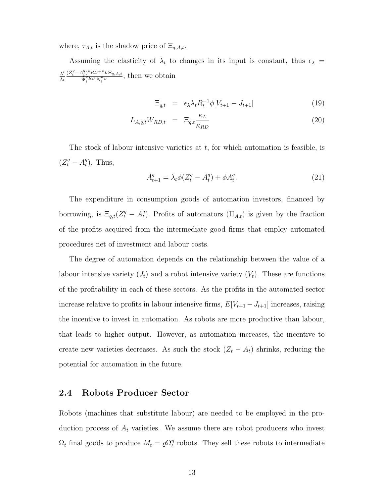where,  $\tau_{A,t}$  is the shadow price of  $\Xi_{q,A,t}$ .

Assuming the elasticity of  $\lambda_t$  to changes in its input is constant, thus  $\epsilon_{\lambda}$  =  $\lambda'$  $\lambda_t$  $(Z_t^q - A_t^q)^{\kappa} R D^{+\kappa} L \, \Xi_{q,A,t}$  $\frac{\tilde{\Psi}_t^{k} P^{N} P^{N} L \simeq_{q,A,t}}{\tilde{\Psi}_t^{k} R^D N_t^{k} L}$ , then we obtain

$$
\Xi_{q,t} = \epsilon_{\lambda} \lambda_t R_t^{-1} \phi[V_{t+1} - J_{t+1}] \tag{19}
$$

$$
L_{A,q,t}W_{RD,t} = \Xi_{q,t} \frac{\kappa_L}{\kappa_{RD}} \tag{20}
$$

The stock of labour intensive varieties at  $t$ , for which automation is feasible, is  $(Z_t^q - A_t^q$  $_t^q$ ). Thus,

$$
A_{t+1}^q = \lambda_t \phi (Z_t^q - A_t^q) + \phi A_t^q. \tag{21}
$$

The expenditure in consumption goods of automation investors, financed by borrowing, is  $\Xi_{q,t}(Z_t^q - A_t^q)$ <sup>q</sup>). Profits of automators  $(\Pi_{A,t})$  is given by the fraction of the profits acquired from the intermediate good firms that employ automated procedures net of investment and labour costs.

The degree of automation depends on the relationship between the value of a labour intensive variety  $(J_t)$  and a robot intensive variety  $(V_t)$ . These are functions of the profitability in each of these sectors. As the profits in the automated sector increase relative to profits in labour intensive firms,  $E[V_{t+1} - J_{t+1}]$  increases, raising the incentive to invest in automation. As robots are more productive than labour, that leads to higher output. However, as automation increases, the incentive to create new varieties decreases. As such the stock  $(Z_t - A_t)$  shrinks, reducing the potential for automation in the future.

### 2.4 Robots Producer Sector

Robots (machines that substitute labour) are needed to be employed in the production process of  $A_t$  varieties. We assume there are robot producers who invest  $\Omega_t$  final goods to produce  $M_t = \varrho \Omega_t^{\eta}$  $t$ <sup>n</sup> robots. They sell these robots to intermediate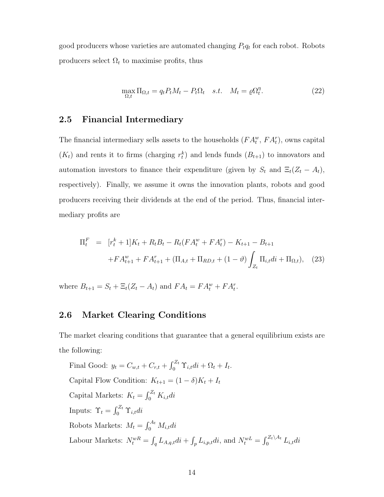good producers whose varieties are automated changing  $P_t q_t$  for each robot. Robots producers select  $\Omega_t$  to maximise profits, thus

$$
\max_{\Omega,t} \Pi_{\Omega,t} = q_t P_t M_t - P_t \Omega_t \quad s.t. \quad M_t = \varrho \Omega_t^{\eta}.
$$
 (22)

### 2.5 Financial Intermediary

The financial intermediary sells assets to the households  $(FA_t^w, FA_t^r)$ , owns capital  $(K_t)$  and rents it to firms (charging  $r_t^k$ ) and lends funds  $(B_{t+1})$  to innovators and automation investors to finance their expenditure (given by  $S_t$  and  $\Xi_t(Z_t - A_t)$ , respectively). Finally, we assume it owns the innovation plants, robots and good producers receiving their dividends at the end of the period. Thus, financial intermediary profits are

$$
\Pi_t^F = [r_t^k + 1]K_t + R_t B_t - R_t (FA_t^w + FA_t^r) - K_{t+1} - B_{t+1}
$$

$$
+ FA_{t+1}^w + FA_{t+1}^r + (\Pi_{A,t} + \Pi_{RD,t} + (1 - \vartheta) \int_{Z_t} \Pi_{i,t} di + \Pi_{\Omega,t}), \quad (23)
$$

where  $B_{t+1} = S_t + \Xi_t (Z_t - A_t)$  and  $FA_t = FA_t^w + FA_t^r$ .

### 2.6 Market Clearing Conditions

The market clearing conditions that guarantee that a general equilibrium exists are the following:

Final Good:  $y_t = C_{w,t} + C_{r,t} + \int_0^{Z_t} \Upsilon_{i,t} dt + \Omega_t + I_t$ . Capital Flow Condition:  $K_{t+1} = (1 - \delta)K_t + I_t$ Capital Markets:  $K_t = \int_0^{Z_t} K_{i,t} dt$ Inputs:  $\Upsilon_t = \int_0^{Z_t} \Upsilon_{i,t} dt$ Robots Markets:  $M_t = \int_0^{A_t} M_{i,t} dt$ Labour Markets:  $N_t^{wR} = \int_q L_{A,q,t}di + \int_p L_{i,p,t}di$ , and  $N_t^{wL} = \int_0^{Z_t \setminus A_t} L_{i,t}di$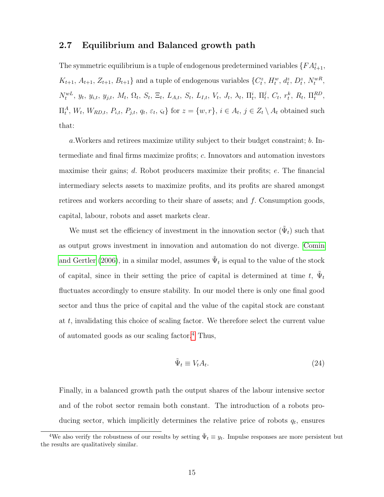### 2.7 Equilibrium and Balanced growth path

The symmetric equilibrium is a tuple of endogenous predetermined variables  $\{FA_{t+1}^z,$  $K_{t+1}, A_{t+1}, Z_{t+1}, B_{t+1}$  and a tuple of endogenous variables  $\{C_t^z, H_t^w, d_t^z, D_t^z, N_t^{wR},$  $N_t^{wL}, y_t, y_{i,t}, y_{j,t}, M_t, \Omega_t, S_t, \Xi_t, L_{A,t}, S_t, L_{I,t}, V_t, J_t, \lambda_t, \Pi_t^i, \Pi_t^j$  $t^j$ ,  $C_t$ ,  $r_t^k$ ,  $R_t$ ,  $\Pi_t^{RD}$ ,  $\Pi_t^A, W_t, W_{RD,t}, P_{i,t}, P_{j,t}, q_t, \varepsilon_t, \varsigma_t\}$  for  $z = \{w, r\}, i \in A_t, j \in Z_t \setminus A_t$  obtained such that:

a.Workers and retirees maximize utility subject to their budget constraint; b. Intermediate and final firms maximize profits; c. Innovators and automation investors maximise their gains; d. Robot producers maximize their profits; e. The financial intermediary selects assets to maximize profits, and its profits are shared amongst retirees and workers according to their share of assets; and f. Consumption goods, capital, labour, robots and asset markets clear.

We must set the efficiency of investment in the innovation sector  $(\tilde{\Psi}_t)$  such that as output grows investment in innovation and automation do not diverge. [Comin](#page-31-11) [and Gertler](#page-31-11) [\(2006\)](#page-31-11), in a similar model, assumes  $\tilde{\Psi}_t$  is equal to the value of the stock of capital, since in their setting the price of capital is determined at time t,  $\tilde{\Psi}_t$ fluctuates accordingly to ensure stability. In our model there is only one final good sector and thus the price of capital and the value of the capital stock are constant at t, invalidating this choice of scaling factor. We therefore select the current value of automated goods as our scaling factor.<sup>[4](#page-14-0)</sup> Thus,

$$
\tilde{\Psi}_t \equiv V_t A_t. \tag{24}
$$

Finally, in a balanced growth path the output shares of the labour intensive sector and of the robot sector remain both constant. The introduction of a robots producing sector, which implicitly determines the relative price of robots  $q_t$ , ensures

<span id="page-14-0"></span><sup>&</sup>lt;sup>4</sup>We also verify the robustness of our results by setting  $\tilde{\Psi}_t \equiv y_t$ . Impulse responses are more persistent but the results are qualitatively similar.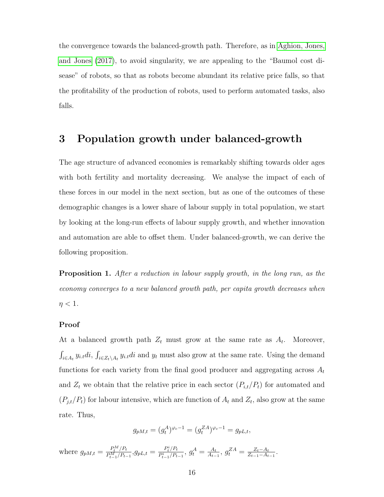the convergence towards the balanced-growth path. Therefore, as in [Aghion, Jones,](#page-31-9) [and Jones](#page-31-9) [\(2017\)](#page-31-9), to avoid singularity, we are appealing to the "Baumol cost disease" of robots, so that as robots become abundant its relative price falls, so that the profitability of the production of robots, used to perform automated tasks, also falls.

## 3 Population growth under balanced-growth

The age structure of advanced economies is remarkably shifting towards older ages with both fertility and mortality decreasing. We analyse the impact of each of these forces in our model in the next section, but as one of the outcomes of these demographic changes is a lower share of labour supply in total population, we start by looking at the long-run effects of labour supply growth, and whether innovation and automation are able to offset them. Under balanced-growth, we can derive the following proposition.

Proposition 1. After a reduction in labour supply growth, in the long run, as the economy converges to a new balanced growth path, per capita growth decreases when  $\eta < 1$ .

#### Proof

At a balanced growth path  $Z_t$  must grow at the same rate as  $A_t$ . Moreover,  $\int_{i\in A_t} y_{i. t} di, \int_{i\in Z_t\setminus A_t} y_{i. t} di$  and  $y_t$  must also grow at the same rate. Using the demand functions for each variety from the final good producer and aggregating across  $A_t$ and  $Z_t$  we obtain that the relative price in each sector  $(P_{i,t}/P_t)$  for automated and  $(P_{j,t}/P_t)$  for labour intensive, which are function of  $A_t$  and  $Z_t$ , also grow at the same rate. Thus,

$$
g_{pM,t} = (g_t^A)^{\varphi_c - 1} = (g_t^{ZA})^{\varphi_c - 1} = g_{pL,t},
$$

where  $g_{pM,t} = \frac{P_t^M/P_t}{P_M/P_t}$  $\frac{P_t^M/P_t}{P_{t-1}^M/P_{t-1}}, g_{pL,t} = \frac{P_t^i/P_t}{P_{t-1}^i/P_t}$  $\frac{P_t^i/P_t}{P_{t-1}^i/P_{t-1}},\, g_t^A = \frac{A_t}{A_{t-1}}$  $\frac{A_t}{A_{t-1}}, g_t^{ZA} = \frac{Z_t - A_t}{Z_{t-1} - A_t}$  $\frac{Z_t-A_t}{Z_{t-1}-A_{t-1}}.$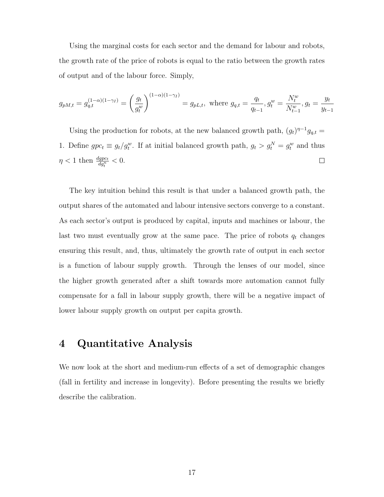Using the marginal costs for each sector and the demand for labour and robots, the growth rate of the price of robots is equal to the ratio between the growth rates of output and of the labour force. Simply,

$$
g_{pM,t} = g_{q,t}^{(1-\alpha)(1-\gamma_I)} = \left(\frac{g_t}{g_t^w}\right)^{(1-\alpha)(1-\gamma_I)} = g_{pL,t}, \text{ where } g_{q,t} = \frac{q_t}{q_{t-1}}, g_t^w = \frac{N_t^w}{N_{t-1}^w}, g_t = \frac{y_t}{y_{t-1}}
$$

Using the production for robots, at the new balanced growth path,  $(g_t)^{\eta-1} g_{q,t} =$ 1. Define  $gpc_t \equiv g_t/g_t^w$ . If at initial balanced growth path,  $g_t > g_t^N = g_t^w$  and thus  $\eta < 1$  then  $\frac{dgpc_t}{dg_t^n} < 0$ .  $\Box$ 

The key intuition behind this result is that under a balanced growth path, the output shares of the automated and labour intensive sectors converge to a constant. As each sector's output is produced by capital, inputs and machines or labour, the last two must eventually grow at the same pace. The price of robots  $q_t$  changes ensuring this result, and, thus, ultimately the growth rate of output in each sector is a function of labour supply growth. Through the lenses of our model, since the higher growth generated after a shift towards more automation cannot fully compensate for a fall in labour supply growth, there will be a negative impact of lower labour supply growth on output per capita growth.

## 4 Quantitative Analysis

We now look at the short and medium-run effects of a set of demographic changes (fall in fertility and increase in longevity). Before presenting the results we briefly describe the calibration.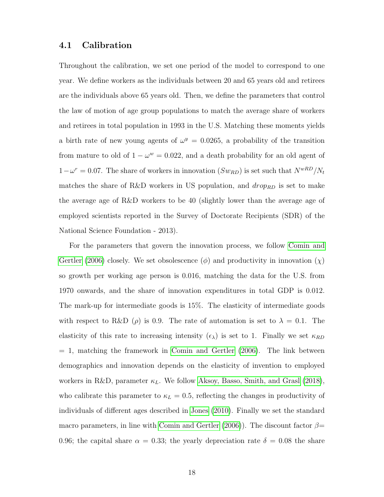### 4.1 Calibration

Throughout the calibration, we set one period of the model to correspond to one year. We define workers as the individuals between 20 and 65 years old and retirees are the individuals above 65 years old. Then, we define the parameters that control the law of motion of age group populations to match the average share of workers and retirees in total population in 1993 in the U.S. Matching these moments yields a birth rate of new young agents of  $\omega^y = 0.0265$ , a probability of the transition from mature to old of  $1 - \omega^w = 0.022$ , and a death probability for an old agent of  $1 - \omega^r = 0.07$ . The share of workers in innovation  $(Sw_{RD})$  is set such that  $N^{wRD}/N_t$ matches the share of R&D workers in US population, and  $drop_{RD}$  is set to make the average age of R&D workers to be 40 (slightly lower than the average age of employed scientists reported in the Survey of Doctorate Recipients (SDR) of the National Science Foundation - 2013).

For the parameters that govern the innovation process, we follow [Comin and](#page-31-11) [Gertler](#page-31-11) [\(2006\)](#page-31-11) closely. We set obsolescence ( $\phi$ ) and productivity in innovation  $(\chi)$ so growth per working age person is 0.016, matching the data for the U.S. from 1970 onwards, and the share of innovation expenditures in total GDP is 0.012. The mark-up for intermediate goods is 15%. The elasticity of intermediate goods with respect to R&D ( $\rho$ ) is 0.9. The rate of automation is set to  $\lambda = 0.1$ . The elasticity of this rate to increasing intensity  $(\epsilon_{\lambda})$  is set to 1. Finally we set  $\kappa_{RD}$  $= 1$ , matching the framework in [Comin and Gertler](#page-31-11) [\(2006\)](#page-31-11). The link between demographics and innovation depends on the elasticity of invention to employed workers in R&D, parameter  $\kappa_L$ . We follow [Aksoy, Basso, Smith, and Grasl](#page-31-0) [\(2018\)](#page-31-0), who calibrate this parameter to  $\kappa_L = 0.5$ , reflecting the changes in productivity of individuals of different ages described in [Jones](#page-32-3) [\(2010\)](#page-32-3). Finally we set the standard macro parameters, in line with [Comin and Gertler](#page-31-11) [\(2006\)](#page-31-11)). The discount factor  $\beta$ = 0.96; the capital share  $\alpha = 0.33$ ; the yearly depreciation rate  $\delta = 0.08$  the share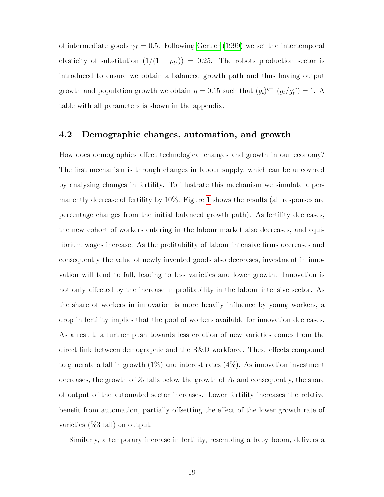of intermediate goods  $\gamma_I = 0.5$ . Following [Gertler](#page-31-12) [\(1999\)](#page-31-12) we set the intertemporal elasticity of substitution  $(1/(1 - \rho_U)) = 0.25$ . The robots production sector is introduced to ensure we obtain a balanced growth path and thus having output growth and population growth we obtain  $\eta = 0.15$  such that  $(g_t)^{\eta-1}(g_t/g_t^w) = 1$ . A table with all parameters is shown in the appendix.

### 4.2 Demographic changes, automation, and growth

How does demographics affect technological changes and growth in our economy? The first mechanism is through changes in labour supply, which can be uncovered by analysing changes in fertility. To illustrate this mechanism we simulate a permanently decrease of fertility by 10%. Figure [1](#page-19-0) shows the results (all responses are percentage changes from the initial balanced growth path). As fertility decreases, the new cohort of workers entering in the labour market also decreases, and equilibrium wages increase. As the profitability of labour intensive firms decreases and consequently the value of newly invented goods also decreases, investment in innovation will tend to fall, leading to less varieties and lower growth. Innovation is not only affected by the increase in profitability in the labour intensive sector. As the share of workers in innovation is more heavily influence by young workers, a drop in fertility implies that the pool of workers available for innovation decreases. As a result, a further push towards less creation of new varieties comes from the direct link between demographic and the R&D workforce. These effects compound to generate a fall in growth  $(1\%)$  and interest rates  $(4\%)$ . As innovation investment decreases, the growth of  $Z_t$  falls below the growth of  $A_t$  and consequently, the share of output of the automated sector increases. Lower fertility increases the relative benefit from automation, partially offsetting the effect of the lower growth rate of varieties (%3 fall) on output.

Similarly, a temporary increase in fertility, resembling a baby boom, delivers a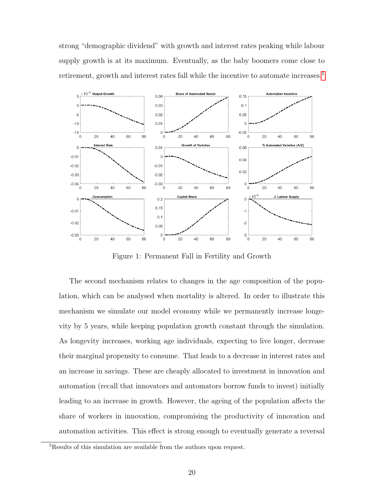strong "demographic dividend" with growth and interest rates peaking while labour supply growth is at its maximum. Eventually, as the baby boomers come close to retirement, growth and interest rates fall while the incentive to automate increases.<sup>[5](#page-19-1)</sup>

<span id="page-19-0"></span>

Figure 1: Permanent Fall in Fertility and Growth

The second mechanism relates to changes in the age composition of the population, which can be analysed when mortality is altered. In order to illustrate this mechanism we simulate our model economy while we permanently increase longevity by 5 years, while keeping population growth constant through the simulation. As longevity increases, working age individuals, expecting to live longer, decrease their marginal propensity to consume. That leads to a decrease in interest rates and an increase in savings. These are cheaply allocated to investment in innovation and automation (recall that innovators and automators borrow funds to invest) initially leading to an increase in growth. However, the ageing of the population affects the share of workers in innovation, compromising the productivity of innovation and automation activities. This effect is strong enough to eventually generate a reversal

<span id="page-19-1"></span><sup>5</sup>Results of this simulation are available from the authors upon request.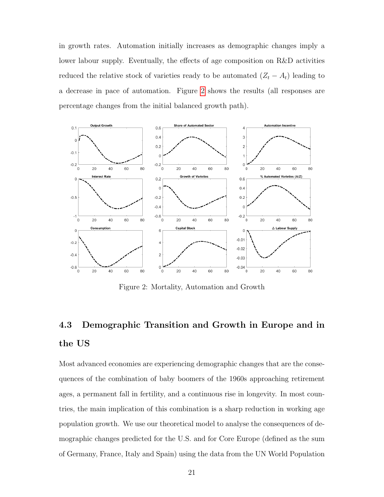in growth rates. Automation initially increases as demographic changes imply a lower labour supply. Eventually, the effects of age composition on R&D activities reduced the relative stock of varieties ready to be automated  $(Z_t - A_t)$  leading to a decrease in pace of automation. Figure [2](#page-20-0) shows the results (all responses are percentage changes from the initial balanced growth path).

<span id="page-20-0"></span>

Figure 2: Mortality, Automation and Growth

# 4.3 Demographic Transition and Growth in Europe and in the US

Most advanced economies are experiencing demographic changes that are the consequences of the combination of baby boomers of the 1960s approaching retirement ages, a permanent fall in fertility, and a continuous rise in longevity. In most countries, the main implication of this combination is a sharp reduction in working age population growth. We use our theoretical model to analyse the consequences of demographic changes predicted for the U.S. and for Core Europe (defined as the sum of Germany, France, Italy and Spain) using the data from the UN World Population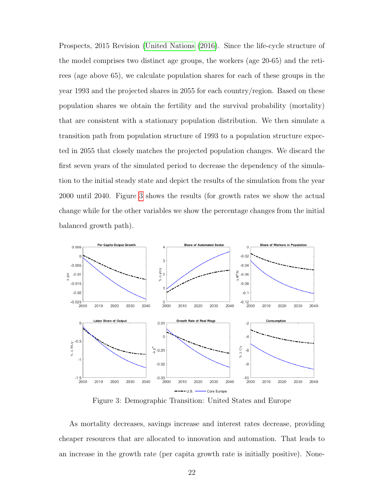Prospects, 2015 Revision [\(United Nations](#page-32-6) [\(2016\)](#page-32-6). Since the life-cycle structure of the model comprises two distinct age groups, the workers (age 20-65) and the retirees (age above 65), we calculate population shares for each of these groups in the year 1993 and the projected shares in 2055 for each country/region. Based on these population shares we obtain the fertility and the survival probability (mortality) that are consistent with a stationary population distribution. We then simulate a transition path from population structure of 1993 to a population structure expected in 2055 that closely matches the projected population changes. We discard the first seven years of the simulated period to decrease the dependency of the simulation to the initial steady state and depict the results of the simulation from the year 2000 until 2040. Figure [3](#page-21-0) shows the results (for growth rates we show the actual change while for the other variables we show the percentage changes from the initial balanced growth path).

<span id="page-21-0"></span>

Figure 3: Demographic Transition: United States and Europe

As mortality decreases, savings increase and interest rates decrease, providing cheaper resources that are allocated to innovation and automation. That leads to an increase in the growth rate (per capita growth rate is initially positive). None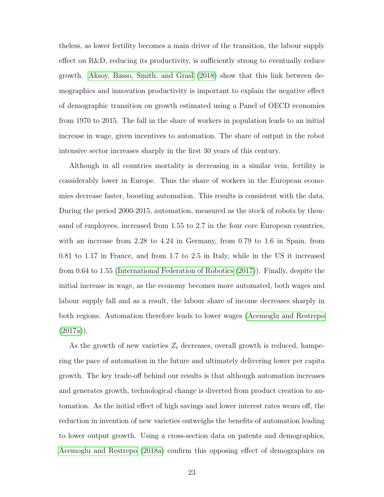theless, as lower fertility becomes a main driver of the transition, the labour supply effect on R&D, reducing its productivity, is sufficiently strong to eventually reduce growth. [Aksoy, Basso, Smith, and Grasl](#page-31-0) [\(2018\)](#page-31-0) show that this link between demographics and innovation productivity is important to explain the negative effect of demographic transition on growth estimated using a Panel of OECD economies from 1970 to 2015. The fall in the share of workers in population leads to an initial increase in wage, given incentives to automation. The share of output in the robot intensive sector increases sharply in the first 30 years of this century.

Although in all countries mortality is decreasing in a similar vein, fertility is considerably lower in Europe. Thus the share of workers in the European economies decrease faster, boosting automation. This results is consistent with the data. During the period 2000-2015, automation, measured as the stock of robots by thousand of employees, increased from 1.55 to 2.7 in the four core European countries, with an increase from 2.28 to 4.24 in Germany, from 0.79 to 1.6 in Spain, from 0.81 to 1.17 in France, and from 1.7 to 2.5 in Italy, while in the US it increased from 0.64 to 1.55 [\(International Federation of Robotics](#page-32-7) [\(2017\)](#page-32-7)). Finally, despite the initial increase in wage, as the economy becomes more automated, both wages and labour supply fall and as a result, the labour share of income decreases sharply in both regions. Automation therefore leads to lower wages [\(Acemoglu and Restrepo](#page-31-5)  $(2017a)$ .

As the growth of new varieties  $Z_t$  decreases, overall growth is reduced, hampering the pace of automation in the future and ultimately delivering lower per capita growth. The key trade-off behind our results is that although automation increases and generates growth, technological change is diverted from product creation to automation. As the initial effect of high savings and lower interest rates wears off, the reduction in invention of new varieties outweighs the benefits of automation leading to lower output growth. Using a cross-section data on patents and demographics, [Acemoglu and Restrepo](#page-31-4) [\(2018a\)](#page-31-4) confirm this opposing effect of demographics on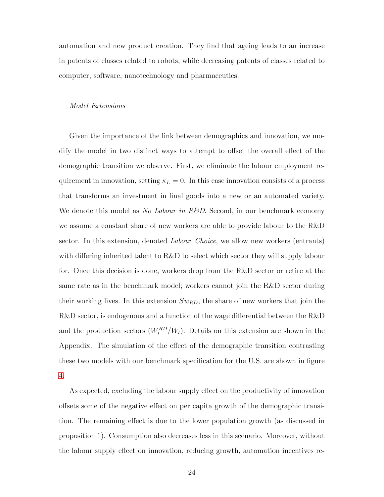automation and new product creation. They find that ageing leads to an increase in patents of classes related to robots, while decreasing patents of classes related to computer, software, nanotechnology and pharmaceutics.

#### Model Extensions

Given the importance of the link between demographics and innovation, we modify the model in two distinct ways to attempt to offset the overall effect of the demographic transition we observe. First, we eliminate the labour employment requirement in innovation, setting  $\kappa_L = 0$ . In this case innovation consists of a process that transforms an investment in final goods into a new or an automated variety. We denote this model as *No Labour in R&D*. Second, in our benchmark economy we assume a constant share of new workers are able to provide labour to the R&D sector. In this extension, denoted *Labour Choice*, we allow new workers (entrants) with differing inherited talent to R&D to select which sector they will supply labour for. Once this decision is done, workers drop from the R&D sector or retire at the same rate as in the benchmark model; workers cannot join the R&D sector during their working lives. In this extension  $Sw_{RD}$ , the share of new workers that join the R&D sector, is endogenous and a function of the wage differential between the R&D and the production sectors  $(W_t^{RD}/W_t)$ . Details on this extension are shown in the Appendix. The simulation of the effect of the demographic transition contrasting these two models with our benchmark specification for the U.S. are shown in figure [4.](#page-24-0)

As expected, excluding the labour supply effect on the productivity of innovation offsets some of the negative effect on per capita growth of the demographic transition. The remaining effect is due to the lower population growth (as discussed in proposition 1). Consumption also decreases less in this scenario. Moreover, without the labour supply effect on innovation, reducing growth, automation incentives re-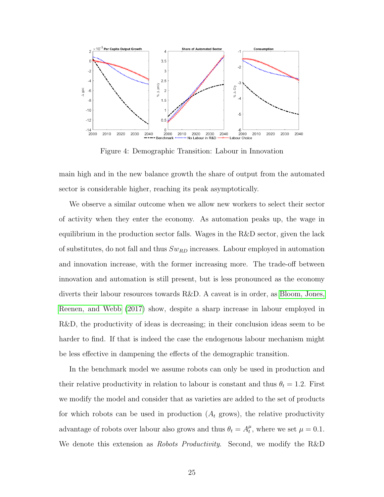<span id="page-24-0"></span>

Figure 4: Demographic Transition: Labour in Innovation

main high and in the new balance growth the share of output from the automated sector is considerable higher, reaching its peak asymptotically.

We observe a similar outcome when we allow new workers to select their sector of activity when they enter the economy. As automation peaks up, the wage in equilibrium in the production sector falls. Wages in the R&D sector, given the lack of substitutes, do not fall and thus  $Sw_{RD}$  increases. Labour employed in automation and innovation increase, with the former increasing more. The trade-off between innovation and automation is still present, but is less pronounced as the economy diverts their labour resources towards R&D. A caveat is in order, as [Bloom, Jones,](#page-31-8) [Reenen, and Webb](#page-31-8) [\(2017\)](#page-31-8) show, despite a sharp increase in labour employed in R&D, the productivity of ideas is decreasing; in their conclusion ideas seem to be harder to find. If that is indeed the case the endogenous labour mechanism might be less effective in dampening the effects of the demographic transition.

In the benchmark model we assume robots can only be used in production and their relative productivity in relation to labour is constant and thus  $\theta_t = 1.2$ . First we modify the model and consider that as varieties are added to the set of products for which robots can be used in production  $(A_t \text{ grows})$ , the relative productivity advantage of robots over labour also grows and thus  $\theta_t = A_t^{\mu}$  $t<sup>\mu</sup>$ , where we set  $\mu = 0.1$ . We denote this extension as *Robots Productivity*. Second, we modify the R&D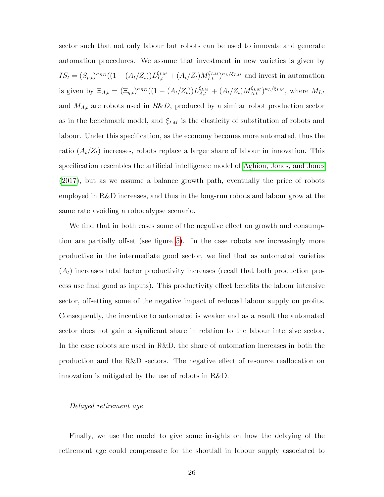sector such that not only labour but robots can be used to innovate and generate automation procedures. We assume that investment in new varieties is given by  $IS_t = (S_{p,t})^{\kappa_{RD}}((1 - (A_t/Z_t))L_{I,t}^{\xi_{LM}} + (A_t/Z_t)M_{I,t}^{\xi_{LM}})^{\kappa_L/\xi_{LM}}$  and invest in automation is given by  $\Xi_{A,t} = (\Xi_{q,t})^{\kappa_{RD}} ((1 - (A_t/Z_t)) L_{A,t}^{\xi_{LM}} + (A_t/Z_t) M_{A,t}^{\xi_{LM}})^{\kappa_L/\xi_{LM}},$  where  $M_{I,t}$ and  $M_{A,t}$  are robots used in  $R\&D$ , produced by a similar robot production sector as in the benchmark model, and  $\xi_{LM}$  is the elasticity of substitution of robots and labour. Under this specification, as the economy becomes more automated, thus the ratio  $(A_t/Z_t)$  increases, robots replace a larger share of labour in innovation. This specification resembles the artificial intelligence model of [Aghion, Jones, and Jones](#page-31-9) [\(2017\)](#page-31-9), but as we assume a balance growth path, eventually the price of robots employed in R&D increases, and thus in the long-run robots and labour grow at the same rate avoiding a robocalypse scenario.

We find that in both cases some of the negative effect on growth and consumption are partially offset (see figure [5\)](#page-26-0). In the case robots are increasingly more productive in the intermediate good sector, we find that as automated varieties  $(A_t)$  increases total factor productivity increases (recall that both production process use final good as inputs). This productivity effect benefits the labour intensive sector, offsetting some of the negative impact of reduced labour supply on profits. Consequently, the incentive to automated is weaker and as a result the automated sector does not gain a significant share in relation to the labour intensive sector. In the case robots are used in R&D, the share of automation increases in both the production and the R&D sectors. The negative effect of resource reallocation on innovation is mitigated by the use of robots in R&D.

#### Delayed retirement age

Finally, we use the model to give some insights on how the delaying of the retirement age could compensate for the shortfall in labour supply associated to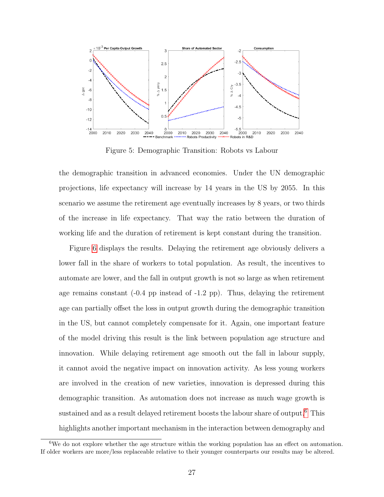<span id="page-26-0"></span>

Figure 5: Demographic Transition: Robots vs Labour

the demographic transition in advanced economies. Under the UN demographic projections, life expectancy will increase by 14 years in the US by 2055. In this scenario we assume the retirement age eventually increases by 8 years, or two thirds of the increase in life expectancy. That way the ratio between the duration of working life and the duration of retirement is kept constant during the transition.

Figure [6](#page-27-0) displays the results. Delaying the retirement age obviously delivers a lower fall in the share of workers to total population. As result, the incentives to automate are lower, and the fall in output growth is not so large as when retirement age remains constant  $(-0.4 \text{ pp} \text{ instead of } -1.2 \text{ pp})$ . Thus, delaying the retirement age can partially offset the loss in output growth during the demographic transition in the US, but cannot completely compensate for it. Again, one important feature of the model driving this result is the link between population age structure and innovation. While delaying retirement age smooth out the fall in labour supply, it cannot avoid the negative impact on innovation activity. As less young workers are involved in the creation of new varieties, innovation is depressed during this demographic transition. As automation does not increase as much wage growth is sustained and as a result delayed retirement boosts the labour share of output.<sup>[6](#page-26-1)</sup> This highlights another important mechanism in the interaction between demography and

<span id="page-26-1"></span><sup>&</sup>lt;sup>6</sup>We do not explore whether the age structure within the working population has an effect on automation. If older workers are more/less replaceable relative to their younger counterparts our results may be altered.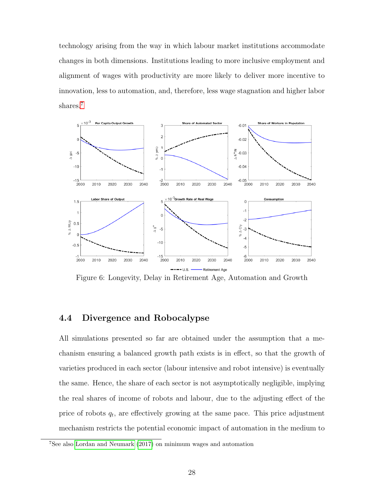technology arising from the way in which labour market institutions accommodate changes in both dimensions. Institutions leading to more inclusive employment and alignment of wages with productivity are more likely to deliver more incentive to innovation, less to automation, and, therefore, less wage stagnation and higher labor shares.<sup>[7](#page-27-1)</sup>

<span id="page-27-0"></span>

Figure 6: Longevity, Delay in Retirement Age, Automation and Growth

### 4.4 Divergence and Robocalypse

All simulations presented so far are obtained under the assumption that a mechanism ensuring a balanced growth path exists is in effect, so that the growth of varieties produced in each sector (labour intensive and robot intensive) is eventually the same. Hence, the share of each sector is not asymptotically negligible, implying the real shares of income of robots and labour, due to the adjusting effect of the price of robots  $q_t$ , are effectively growing at the same pace. This price adjustment mechanism restricts the potential economic impact of automation in the medium to

<span id="page-27-1"></span><sup>7</sup>See also [Lordan and Neumark](#page-32-8) [\(2017\)](#page-32-8) on minimum wages and automation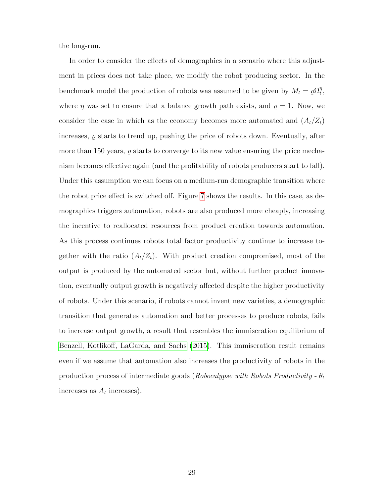the long-run.

In order to consider the effects of demographics in a scenario where this adjustment in prices does not take place, we modify the robot producing sector. In the benchmark model the production of robots was assumed to be given by  $M_t = \rho \Omega_t^{\eta}$  $_{t}^{\eta},$ where  $\eta$  was set to ensure that a balance growth path exists, and  $\rho = 1$ . Now, we consider the case in which as the economy becomes more automated and  $(A_t/Z_t)$ increases,  $\rho$  starts to trend up, pushing the price of robots down. Eventually, after more than 150 years,  $\rho$  starts to converge to its new value ensuring the price mechanism becomes effective again (and the profitability of robots producers start to fall). Under this assumption we can focus on a medium-run demographic transition where the robot price effect is switched off. Figure [7](#page-29-0) shows the results. In this case, as demographics triggers automation, robots are also produced more cheaply, increasing the incentive to reallocated resources from product creation towards automation. As this process continues robots total factor productivity continue to increase together with the ratio  $(A_t/Z_t)$ . With product creation compromised, most of the output is produced by the automated sector but, without further product innovation, eventually output growth is negatively affected despite the higher productivity of robots. Under this scenario, if robots cannot invent new varieties, a demographic transition that generates automation and better processes to produce robots, fails to increase output growth, a result that resembles the immiseration equilibrium of [Benzell, Kotlikoff, LaGarda, and Sachs](#page-31-10) [\(2015\)](#page-31-10). This immiseration result remains even if we assume that automation also increases the productivity of robots in the production process of intermediate goods (Robocalypse with Robots Productivity -  $\theta_t$ increases as  $A_t$  increases).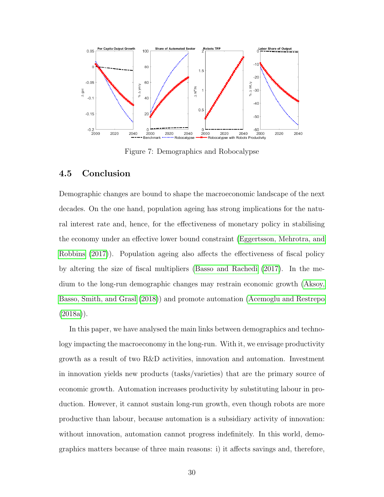<span id="page-29-0"></span>

Figure 7: Demographics and Robocalypse

### 4.5 Conclusion

Demographic changes are bound to shape the macroeconomic landscape of the next decades. On the one hand, population ageing has strong implications for the natural interest rate and, hence, for the effectiveness of monetary policy in stabilising the economy under an effective lower bound constraint [\(Eggertsson, Mehrotra, and](#page-31-16) [Robbins](#page-31-16) [\(2017\)](#page-31-16)). Population ageing also affects the effectiveness of fiscal policy by altering the size of fiscal multipliers [\(Basso and Rachedi](#page-31-17) [\(2017\)](#page-31-17). In the medium to the long-run demographic changes may restrain economic growth [\(Aksoy,](#page-31-0) [Basso, Smith, and Grasl](#page-31-0) [\(2018\)](#page-31-0)) and promote automation [\(Acemoglu and Restrepo](#page-31-4)  $(2018a)$ .

In this paper, we have analysed the main links between demographics and technology impacting the macroeconomy in the long-run. With it, we envisage productivity growth as a result of two R&D activities, innovation and automation. Investment in innovation yields new products (tasks/varieties) that are the primary source of economic growth. Automation increases productivity by substituting labour in production. However, it cannot sustain long-run growth, even though robots are more productive than labour, because automation is a subsidiary activity of innovation: without innovation, automation cannot progress indefinitely. In this world, demographics matters because of three main reasons: i) it affects savings and, therefore,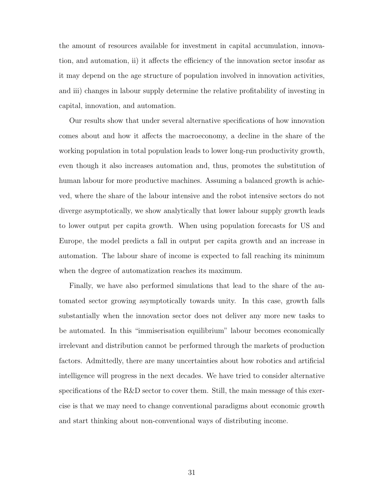the amount of resources available for investment in capital accumulation, innovation, and automation, ii) it affects the efficiency of the innovation sector insofar as it may depend on the age structure of population involved in innovation activities, and iii) changes in labour supply determine the relative profitability of investing in capital, innovation, and automation.

Our results show that under several alternative specifications of how innovation comes about and how it affects the macroeconomy, a decline in the share of the working population in total population leads to lower long-run productivity growth, even though it also increases automation and, thus, promotes the substitution of human labour for more productive machines. Assuming a balanced growth is achieved, where the share of the labour intensive and the robot intensive sectors do not diverge asymptotically, we show analytically that lower labour supply growth leads to lower output per capita growth. When using population forecasts for US and Europe, the model predicts a fall in output per capita growth and an increase in automation. The labour share of income is expected to fall reaching its minimum when the degree of automatization reaches its maximum.

Finally, we have also performed simulations that lead to the share of the automated sector growing asymptotically towards unity. In this case, growth falls substantially when the innovation sector does not deliver any more new tasks to be automated. In this "immiserisation equilibrium" labour becomes economically irrelevant and distribution cannot be performed through the markets of production factors. Admittedly, there are many uncertainties about how robotics and artificial intelligence will progress in the next decades. We have tried to consider alternative specifications of the R&D sector to cover them. Still, the main message of this exercise is that we may need to change conventional paradigms about economic growth and start thinking about non-conventional ways of distributing income.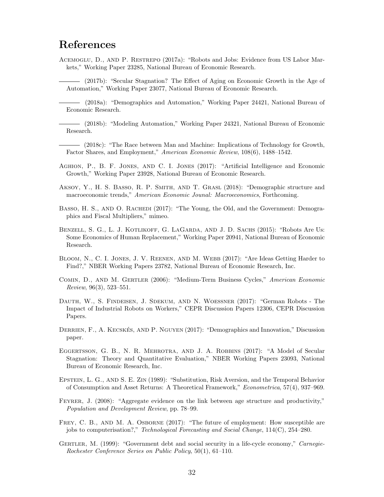## References

<span id="page-31-5"></span>Acemoglu, D., and P. Restrepo (2017a): "Robots and Jobs: Evidence from US Labor Markets," Working Paper 23285, National Bureau of Economic Research.

<span id="page-31-2"></span>(2017b): "Secular Stagnation? The Effect of Aging on Economic Growth in the Age of Automation," Working Paper 23077, National Bureau of Economic Research.

<span id="page-31-4"></span>(2018a): "Demographics and Automation," Working Paper 24421, National Bureau of Economic Research.

<span id="page-31-14"></span>(2018b): "Modeling Automation," Working Paper 24321, National Bureau of Economic Research.

<span id="page-31-3"></span>(2018c): "The Race between Man and Machine: Implications of Technology for Growth, Factor Shares, and Employment," American Economic Review, 108(6), 1488–1542.

- <span id="page-31-9"></span>Aghion, P., B. F. Jones, and C. I. Jones (2017): "Artificial Intelligence and Economic Growth," Working Paper 23928, National Bureau of Economic Research.
- <span id="page-31-0"></span>Aksoy, Y., H. S. Basso, R. P. Smith, and T. Grasl (2018): "Demographic structure and macroeconomic trends," American Economic Jounal: Macroeconomics, Forthcoming.
- <span id="page-31-17"></span>BASSO, H. S., AND O. RACHEDI (2017): "The Young, the Old, and the Government: Demographics and Fiscal Multipliers," mimeo.
- <span id="page-31-10"></span>BENZELL, S. G., L. J. KOTLIKOFF, G. LAGARDA, AND J. D. SACHS (2015): "Robots Are Us: Some Economics of Human Replacement," Working Paper 20941, National Bureau of Economic Research.
- <span id="page-31-8"></span>BLOOM, N., C. I. JONES, J. V. REENEN, AND M. WEBB (2017): "Are Ideas Getting Harder to Find?," NBER Working Papers 23782, National Bureau of Economic Research, Inc.
- <span id="page-31-11"></span>Comin, D., and M. Gertler (2006): "Medium-Term Business Cycles," American Economic Review, 96(3), 523–551.
- <span id="page-31-6"></span>DAUTH, W., S. FINDEISEN, J. SDEKUM, AND N. WOESSNER (2017): "German Robots - The Impact of Industrial Robots on Workers," CEPR Discussion Papers 12306, CEPR Discussion Papers.
- <span id="page-31-1"></span>DERRIEN, F., A. KECSKÉS, AND P. NGUYEN (2017): "Demographics and Innovation," Discussion paper.
- <span id="page-31-16"></span>EGGERTSSON, G. B., N. R. MEHROTRA, AND J. A. ROBBINS (2017): "A Model of Secular Stagnation: Theory and Quantitative Evaluation," NBER Working Papers 23093, National Bureau of Economic Research, Inc.
- <span id="page-31-13"></span>Epstein, L. G., and S. E. Zin (1989): "Substitution, Risk Aversion, and the Temporal Behavior of Consumption and Asset Returns: A Theoretical Framework," Econometrica, 57(4), 937–969.
- <span id="page-31-15"></span>Feyrer, J. (2008): "Aggregate evidence on the link between age structure and productivity," Population and Development Review, pp. 78–99.
- <span id="page-31-7"></span>FREY, C. B., AND M. A. OSBORNE (2017): "The future of employment: How susceptible are jobs to computerisation?," Technological Forecasting and Social Change, 114(C), 254–280.
- <span id="page-31-12"></span>GERTLER, M. (1999): "Government debt and social security in a life-cycle economy," *Carnegie-*Rochester Conference Series on Public Policy, 50(1), 61–110.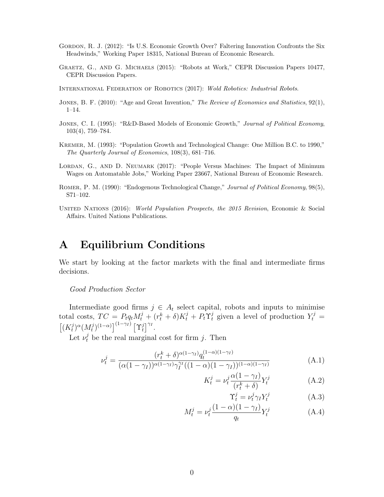- <span id="page-32-0"></span>GORDON, R. J. (2012): "Is U.S. Economic Growth Over? Faltering Innovation Confronts the Six Headwinds," Working Paper 18315, National Bureau of Economic Research.
- <span id="page-32-1"></span>Graetz, G., and G. Michaels (2015): "Robots at Work," CEPR Discussion Papers 10477, CEPR Discussion Papers.
- <span id="page-32-7"></span>International Federation of Robotics (2017): Wold Robotics: Industrial Robots.
- <span id="page-32-3"></span>JONES, B. F. (2010): "Age and Great Invention," The Review of Economics and Statistics, 92(1), 1–14.
- <span id="page-32-4"></span>JONES, C. I. (1995): "R&D-Based Models of Economic Growth," Journal of Political Economy, 103(4), 759–784.
- <span id="page-32-5"></span>Kremer, M. (1993): "Population Growth and Technological Change: One Million B.C. to 1990," The Quarterly Journal of Economics, 108(3), 681–716.
- <span id="page-32-8"></span>LORDAN, G., AND D. NEUMARK (2017): "People Versus Machines: The Impact of Minimum Wages on Automatable Jobs," Working Paper 23667, National Bureau of Economic Research.
- <span id="page-32-2"></span>ROMER, P. M. (1990): "Endogenous Technological Change," Journal of Political Economy, 98(5), S71–102.
- <span id="page-32-6"></span>UNITED NATIONS (2016): World Population Prospects, the 2015 Revision, Economic & Social Affairs. United Nations Publications.

# A Equilibrium Conditions

We start by looking at the factor markets with the final and intermediate firms decisions.

Good Production Sector

Intermediate good firms  $j \in A_t$  select capital, robots and inputs to minimise total costs,  $TC = P_t q_t M_t^j + (r_t^k + \delta) K_t^j + P_t \Upsilon_t^j$  given a level of production  $Y_t^j =$  $\left[ (K_t^j\right]$  $\binom{j}{t}^{\alpha} (M_t^j)$  $\int_t^j)^{(1-\alpha)}\Big]^{(1-\gamma_I)}\, \big[\Upsilon_t^j\big]$  $\int_t^j \int_0^{\gamma_I}$ .

Let  $\nu_t^j$  be the real marginal cost for firm j. Then

$$
\nu_t^j = \frac{(r_t^k + \delta)^{\alpha(1-\gamma_I)} q_t^{(1-\alpha)(1-\gamma_I)}}{(\alpha(1-\gamma_I))^{\alpha(1-\gamma_I)} \gamma_I^{\gamma_I} ((1-\alpha)(1-\gamma_I))^{(1-\alpha)(1-\gamma_I)}}
$$
(A.1)

$$
K_t^j = \nu_t^j \frac{\alpha (1 - \gamma_I)}{(r_t^k + \delta)} Y_t^j \tag{A.2}
$$

$$
\Upsilon_t^j = \nu_t^j \gamma_I Y_t^j \tag{A.3}
$$

$$
M_t^j = \nu_t^j \frac{(1 - \alpha)(1 - \gamma_I)}{q_t} Y_t^j \tag{A.4}
$$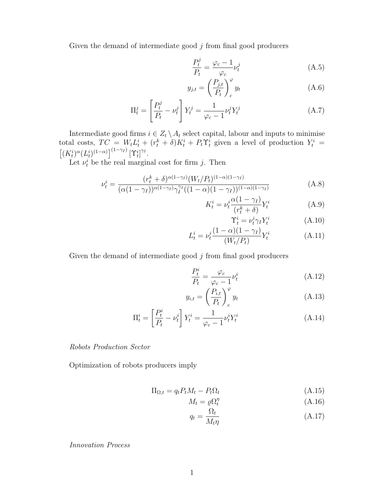Given the demand of intermediate good  $j$  from final good producers

$$
\frac{P_t^j}{P_t} = \frac{\varphi_c - 1}{\varphi_c} \nu_t^j \tag{A.5}
$$

$$
y_{j,t} = \left(\frac{P_{j,t}}{P_t}\right)_c^\varphi y_t \tag{A.6}
$$

$$
\Pi_t^j = \left[\frac{P_t^j}{P_t} - \nu_t^j\right] Y_t^j = \frac{1}{\varphi_c - 1} \nu_t^j Y_t^j \tag{A.7}
$$

Intermediate good firms  $i \in Z_t \setminus A_t$  select capital, labour and inputs to minimise total costs,  $TC = W_t L_t^i + (r_t^k + \delta) K_t^i + P_t T_t^i$  given a level of production  $Y_t^i$  =  $\left[ (K_t^i)^{\alpha} (L_t^i)^{(1-\alpha)} \right]^{(1-\gamma_I)} [\Upsilon_t^i]^{\gamma_I}.$ 

Let  $\nu_t^i$  be the real marginal cost for firm j. Then

$$
\nu_t^i = \frac{(r_t^k + \delta)^{\alpha(1-\gamma_I)} (W_t/P_t)^{(1-\alpha)(1-\gamma_I)}}{(\alpha(1-\gamma_I))^{\alpha(1-\gamma_I)} \gamma_I^{\gamma_I} ((1-\alpha)(1-\gamma_I))^{(1-\alpha)(1-\gamma_I)}}
$$
(A.8)

$$
K_t^i = \nu_t^i \frac{\alpha (1 - \gamma_I)}{(r_t^k + \delta)} Y_t^i
$$
 (A.9)

$$
\Upsilon_t^i = \nu_t^i \gamma_I Y_t^i \tag{A.10}
$$

$$
L_t^i = \nu_t^i \frac{(1 - \alpha)(1 - \gamma_I)}{(W_t/P_t)} Y_t^i
$$
 (A.11)

Given the demand of intermediate good  $j$  from final good producers

$$
\frac{P_t^i}{P_t} = \frac{\varphi_c}{\varphi_c - 1} \nu_t^i \tag{A.12}
$$

$$
y_{i,t} = \left(\frac{P_{i,t}}{P_t}\right)_c^\varphi y_t \tag{A.13}
$$

$$
\Pi_t^i = \left[\frac{P_t^i}{P_t} - \nu_t^i\right] Y_t^i = \frac{1}{\varphi_c - 1} \nu_t^i Y_t^i
$$
\n(A.14)

#### Robots Production Sector

Optimization of robots producers imply

$$
\Pi_{\Omega,t} = q_t P_t M_t - P_t \Omega_t \tag{A.15}
$$

$$
M_t = \varrho \Omega_t^{\eta} \tag{A.16}
$$

$$
q_t = \frac{\Omega_t}{M_t \eta} \tag{A.17}
$$

Innovation Process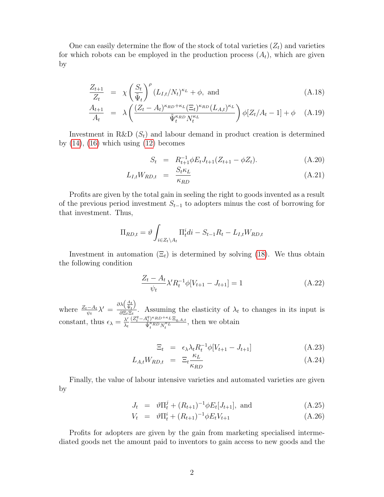One can easily determine the flow of the stock of total varieties  $(Z_t)$  and varieties for which robots can be employed in the production process  $(A_t)$ , which are given by

$$
\frac{Z_{t+1}}{Z_t} = \chi \left(\frac{S_t}{\tilde{\Psi}_t}\right)^{\rho} (L_{I,t}/N_t)^{\kappa_L} + \phi, \text{ and}
$$
\n(A.18)

$$
\frac{A_{t+1}}{A_t} = \lambda \left( \frac{(Z_t - A_t)^{\kappa_{RD} + \kappa_L} (\Xi_t)^{\kappa_{RD}} (L_{A,t})^{\kappa_L}}{\tilde{\Psi}_t^{\kappa_{RD}} N_t^{\kappa_L}} \right) \phi[Z_t / A_t - 1] + \phi \quad (A.19)
$$

Investment in R&D  $(S_t)$  and labour demand in product creation is determined by  $(14)$ ,  $(16)$  which using  $(12)$  becomes

$$
S_t = R_{t+1}^{-1} \phi E_t J_{t+1} (Z_{t+1} - \phi Z_t). \tag{A.20}
$$

$$
L_{I,t}W_{RD,t} = \frac{S_t \kappa_L}{\kappa_{RD}} \tag{A.21}
$$

Profits are given by the total gain in seeling the right to goods invented as a result of the previous period investment  $S_{t-1}$  to adopters minus the cost of borrowing for that investment. Thus,

$$
\Pi_{RD,t} = \vartheta \int_{i \in Z_t \backslash A_t} \Pi_t^i di - S_{t-1} R_t - L_{I,t} W_{RD,t}
$$

Investment in automation  $(\Xi_t)$  is determined by solving [\(18\)](#page-11-2). We thus obtain the following condition

$$
\frac{Z_t - A_t}{\psi_t} \lambda' R_t^{-1} \phi[V_{t+1} - J_{t+1}] = 1
$$
\n(A.22)

where  $\frac{Z_t - A_t}{\psi_t} \lambda' =$  $\partial \lambda \Big(\frac{A_t}{\tilde{\Psi}_t}$ λ  $\frac{\partial \langle \Psi_t \rangle}{\partial \Xi_t \Xi_t}$ . Assuming the elasticity of  $\lambda_t$  to changes in its input is constant, thus  $\epsilon_{\lambda} = \frac{\lambda'}{\lambda_{\lambda}}$  $\lambda_t$  $(Z_t^q - A_t^q)^{\kappa}$ RD<sup>+ $\kappa$ </sup>L  $\Xi_{q,A,t}$  $\frac{\tilde{\Psi}_t^{k} P^{T} R D^{T} L \Sigma_{q,A,t}}{\tilde{\Psi}_t^{k} R D N_t^{k} L}$ , then we obtain

$$
\Xi_t = \epsilon_\lambda \lambda_t R_t^{-1} \phi[V_{t+1} - J_{t+1}] \tag{A.23}
$$

$$
L_{A,t}W_{RD,t} = \Xi_t \frac{\kappa_L}{\kappa_{RD}} \tag{A.24}
$$

Finally, the value of labour intensive varieties and automated varieties are given by

$$
J_t = \vartheta \Pi_t^j + (R_{t+1})^{-1} \varphi E_t[J_{t+1}], \text{ and} \qquad (A.25)
$$

$$
V_t = \vartheta \Pi_t^i + (R_{t+1})^{-1} \varphi E_t V_{t+1} \tag{A.26}
$$

Profits for adopters are given by the gain from marketing specialised intermediated goods net the amount paid to inventors to gain access to new goods and the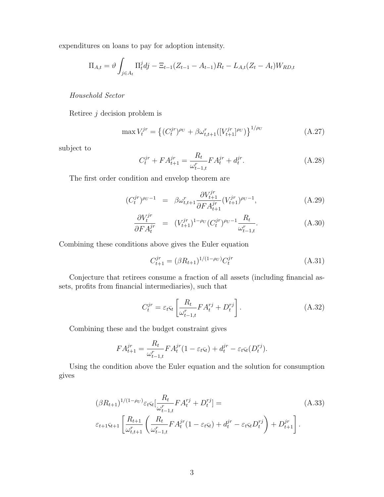expenditures on loans to pay for adoption intensity.

$$
\Pi_{A,t} = \vartheta \int_{j \in A_t} \Pi_t^j dj - \Xi_{t-1} (Z_{t-1} - A_{t-1}) R_t - L_{A,t} (Z_t - A_t) W_{RD,t}
$$

Household Sector

Retiree  $j$  decision problem is

$$
\max V_t^{jr} = \left\{ (C_t^{jr})^{\rho_U} + \beta \omega_{t,t+1}^r ([V_{t+1}^{jr}]^{\rho_U}) \right\}^{1/\rho_U}
$$
\n(A.27)

subject to

$$
C_t^{jr} + FA_{t+1}^{jr} = \frac{R_t}{\omega_{t-1,t}^r} FA_t^{jr} + d_t^{jr}.
$$
\n(A.28)

The first order condition and envelop theorem are

$$
(C_t^{jr})^{\rho_U - 1} = \beta \omega_{t,t+1}^r \frac{\partial V_{t+1}^{jr}}{\partial F A_{t+1}^{jr}} (V_{t+1}^{jr})^{\rho_U - 1}, \tag{A.29}
$$

$$
\frac{\partial V_t^{jr}}{\partial F A_t^{jr}} = (V_{t+1}^{jr})^{1-\rho_U} (C_t^{jr})^{\rho_U - 1} \frac{R_t}{\omega_{t-1,t}^r}.
$$
\n(A.30)

Combining these conditions above gives the Euler equation

$$
C_{t+1}^{jr} = (\beta R_{t+1})^{1/(1-\rho_U)} C_t^{jr}
$$
\n(A.31)

Conjecture that retirees consume a fraction of all assets (including financial assets, profits from financial intermediaries), such that

$$
C_t^{jr} = \varepsilon_t \varsigma_t \left[ \frac{R_t}{\omega_{t-1,t}^r} F A_t^{rj} + D_t^{rj} \right]. \tag{A.32}
$$

Combining these and the budget constraint gives

$$
FA_{t+1}^{jr} = \frac{R_t}{\omega_{t-1,t}^r} FA_t^{jr} (1 - \varepsilon_t \varsigma_t) + d_t^{jr} - \varepsilon_t \varsigma_t (D_t^{rj}).
$$

Using the condition above the Euler equation and the solution for consumption gives

$$
(\beta R_{t+1})^{1/(1-\rho_U)} \varepsilon_t \varsigma_t \left[ \frac{R_t}{\omega_{t-1,t}^r} F A_t^{rj} + D_t^{rj} \right] =
$$
\n
$$
\varepsilon_{t+1} \varsigma_{t+1} \left[ \frac{R_{t+1}}{\omega_{t,t+1}^r} \left( \frac{R_t}{\omega_{t-1,t}^r} F A_t^{jr} (1 - \varepsilon_t \varsigma_t) + d_t^{jr} - \varepsilon_t \varsigma_t D_t^{rj} \right) + D_{t+1}^{jr} \right].
$$
\n(A.33)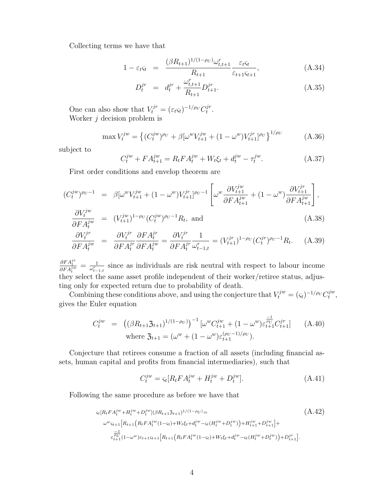Collecting terms we have that

$$
1 - \varepsilon_t \varsigma_t = \frac{(\beta R_{t+1})^{1/(1-\rho_U)} \omega_{t,t+1}^r}{R_{t+1}} \frac{\varepsilon_t \varsigma_t}{\varepsilon_{t+1} \varsigma_{t+1}},
$$
(A.34)

$$
D_t^{jr} = d_t^{jr} + \frac{\omega_{t,t+1}^r}{R_{t+1}} D_{t+1}^{jr}.
$$
\n(A.35)

One can also show that  $V_t^{jr} = (\varepsilon_t \varsigma_t)^{-1/\rho_U} C_t^{jr}$  $_t^{gr}.$ Worker  $j$  decision problem is

$$
\max V_t^{jw} = \left\{ (C_t^{jw})^{\rho_U} + \beta [\omega^w V_{t+1}^{jw} + (1 - \omega^w) V_{t+1}^{jr}]^{\rho_U} \right\}^{1/\rho_U}
$$
 (A.36)

subject to

$$
C_t^{jw} + FA_{t+1}^{jw} = R_t FA_t^{jw} + W_t \xi_t + d_t^{jw} - \tau_t^{jw}.
$$
 (A.37)

First order conditions and envelop theorem are

$$
(C_t^{jw})^{\rho_U - 1} = \beta [\omega^w V_{t+1}^{jw} + (1 - \omega^w) V_{t+1}^{jr}]^{\rho_U - 1} \left[ \omega^w \frac{\partial V_{t+1}^{jw}}{\partial F A_{t+1}^{jw}} + (1 - \omega^w) \frac{\partial V_{t+1}^{jr}}{\partial F A_{t+1}^{jw}} \right],
$$
  

$$
\frac{\partial V_t^{jw}}{\partial F A_{t+1}^{jw}} = (V_t^{jw})^{1 - \rho_U} (C_t^{jw})^{\rho_U - 1} P_{\rho_U}
$$

$$
\frac{OV_t^i}{\partial FA_t^{jw}} = (V_{t+1}^{jw})^{1-\rho_U} (C_t^{jw})^{\rho_U - 1} R_t, \text{ and}
$$
\n(A.38)

$$
\frac{\partial V_t^{jr}}{\partial F A_t^{jw}} = \frac{\partial V_t^{jr}}{\partial F A_t^{jr}} \frac{\partial F A_t^{jr}}{\partial F A_t^{jw}} = \frac{\partial V_t^{jr}}{\partial F A_t^{jr}} \frac{1}{\omega_{t-1,t}^r} = (V_{t+1}^{jr})^{1-\rho_U} (C_t^{jr})^{\rho_U-1} R_t.
$$
 (A.39)

 $\frac{\partial F A_t^{jr}}{\partial F A_t^{j w}} = \frac{1}{\omega_{t-}^r}$  $\frac{1}{\omega_{t-1,t}^r}$  since as individuals are risk neutral with respect to labour income they select the same asset profile independent of their worker/retiree status, adjusting only for expected return due to probability of death.

Combining these conditions above, and using the conjecture that  $V_t^{jw} = (\varsigma_t)^{-1/\rho_U} C_t^{jw}$  $_{t}^{jw},$ gives the Euler equation

$$
C_t^{jw} = ((\beta R_{t+1} \mathfrak{Z}_{t+1})^{1/(1-\rho_U)})^{-1} [\omega^w C_{t+1}^{jw} + (1 - \omega^w) \varepsilon_{t+1}^{\frac{-1}{\rho_U}} C_{t+1}^{jr}] \qquad \text{(A.40)}
$$
  
where  $\mathfrak{Z}_{t+1} = (\omega^w + (1 - \omega^w) \varepsilon_{t+1}^{(\rho_U - 1)/\rho_U}).$ 

Conjecture that retirees consume a fraction of all assets (including financial assets, human capital and profits from financial intermediaries), such that

$$
C_t^{jw} = \varsigma_t [R_t F A_t^{jw} + H_t^{jw} + D_t^{jw}]. \tag{A.41}
$$

Following the same procedure as before we have that

$$
G_t[R_t F A_t^{jw} + H_t^{jw} + D_t^{jw}] (\beta R_{t+1} \beta_{t+1})^{1/(1-\rho_U)} =
$$
\n
$$
\omega^w G_{t+1} [R_{t+1} (R_t F A_t^{jw} (1-\varsigma_t) + W_t \xi_t + d_t^{jw} - \varsigma_t (H_t^{jw} + D_t^{jw}) + H_{t+1}^{jw} + D_t^{jw}] +
$$
\n
$$
\frac{-1}{\varepsilon_{t+1}^{jw}} (1-\omega^w) \varepsilon_{t+1} \xi_{t+1} [R_{t+1} (R_t F A_t^{jw} (1-\varsigma_t) + W_t \xi_t + d_t^{jw} - \varsigma_t (H_t^{jw} + D_t^{jw}) + D_{t+1}^{jr}].
$$
\n(A.42)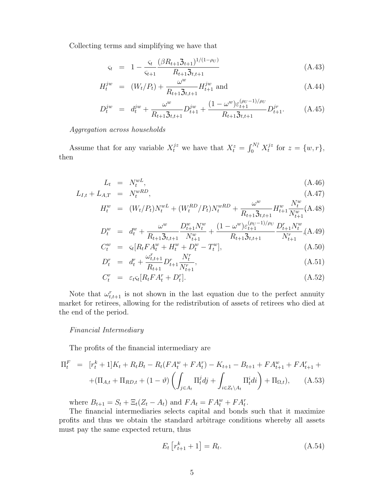Collecting terms and simplifying we have that

$$
\varsigma_t = 1 - \frac{\varsigma_t}{\varsigma_{t+1}} \frac{(\beta R_{t+1} \mathfrak{Z}_{t+1})^{1/(1-\rho_U)}}{R_{t+1} \mathfrak{Z}_{t,t+1}}
$$
(A.43)

$$
H_t^{jw} = (W_t/P_t) + \frac{\omega^w}{R_{t+1} \mathfrak{Z}_{t,t+1}} H_{t+1}^{jw} \text{ and } \qquad (A.44)
$$

$$
D_t^{jw} = d_t^{jw} + \frac{\omega^w}{R_{t+1}\mathfrak{Z}_{t,t+1}} D_{t+1}^{jw} + \frac{(1-\omega^w)\varepsilon_{t+1}^{(\rho_U - 1)/\rho_U}}{R_{t+1}\mathfrak{Z}_{t,t+1}} D_{t+1}^{jr}.
$$
 (A.45)

Aggregation across households

Assume that for any variable  $X_t^{jz}$  we have that  $X_t^z = \int_0^{N_t^z} X_t^{jz}$  $t^{jz}$  for  $z = \{w, r\},\$ then

$$
L_t = N_t^{wL}, \tag{A.46}
$$

$$
L_{I,t} + L_{A,T} = N_t^{wRD}, \qquad (A.47)
$$

$$
H_t^w = (W_t/P_t)N_t^{wL} + (W_t^{RD}/P_t)N_t^{wRD} + \frac{\omega^w}{R_{t+1}\mathfrak{Z}_{t,t+1}}H_{t+1}^w \frac{N_t^w}{N_{t+1}^w} (A.48)
$$

$$
D_t^w = d_t^w + \frac{\omega^w}{R_{t+1}\mathfrak{Z}_{t,t+1}} \frac{D_{t+1}^w N_t^w}{N_{t+1}^w} + \frac{(1-\omega^w)\varepsilon_{t+1}^{(\rho_U-1)/\rho_U}}{R_{t+1}\mathfrak{Z}_{t,t+1}} \frac{D_{t+1}^r N_t^w}{N_{t+1}^r} (A.49)
$$

$$
C_t^w = \varsigma_t [R_t F A_t^w + H_t^w + D_t^w - T_t^w],
$$
\n
$$
C_t^r = \frac{C_t^r}{\sigma_t^r} \left[ \frac{A_t^r}{\sigma_t^r} + \frac{B_t^r}{\sigma_t^r} \right],
$$
\n
$$
C_t^r = \frac{C_t^r}{\sigma_t^r} \left[ \frac{A_t^r}{\sigma_t^r} + \frac{B_t^r}{\sigma_t^r} \right],
$$
\n
$$
C_t^r = \frac{C_t^r}{\sigma_t^r} \left[ \frac{A_t^r}{\sigma_t^r} + \frac{B_t^r}{\sigma_t^r} \right],
$$
\n
$$
C_t^r = \frac{C_t^r}{\sigma_t^r} \left[ \frac{A_t^r}{\sigma_t^r} + \frac{B_t^r}{\sigma_t^r} \right],
$$
\n
$$
C_t^r = \frac{C_t^r}{\sigma_t^r} \left[ \frac{A_t^r}{\sigma_t^r} + \frac{B_t^r}{\sigma_t^r} \right],
$$
\n
$$
C_t^r = \frac{C_t^r}{\sigma_t^r} \left[ \frac{A_t^r}{\sigma_t^r} + \frac{B_t^r}{\sigma_t^r} \right],
$$
\n
$$
C_t^r = \frac{C_t^r}{\sigma_t^r} \left[ \frac{A_t^r}{\sigma_t^r} + \frac{B_t^r}{\sigma_t^r} \right],
$$
\n
$$
C_t^r = \frac{C_t^r}{\sigma_t^r} \left[ \frac{A_t^r}{\sigma_t^r} + \frac{B_t^r}{\sigma_t^r} \right],
$$
\n
$$
C_t^r = \frac{C_t^r}{\sigma_t^r} \left[ \frac{A_t^r}{\sigma_t^r} + \frac{B_t^r}{\sigma_t^r} \right],
$$
\n
$$
C_t^r = \frac{C_t^r}{\sigma_t^r} \left[ \frac{A_t^r}{\sigma_t^r} + \frac{B_t^r}{\sigma_t^r} \right],
$$
\n
$$
C_t^r = \frac{C_t^r}{\sigma_t^r} \left[ \frac{A_t^r}{\sigma_t^r} + \frac{B_t^r}{\sigma_t^r} \right],
$$
\n
$$
C_t^r = \frac{C_t^r
$$

$$
D_t^r = d_t^r + \frac{\omega_{t,t+1}}{R_{t+1}} D_{t+1}^r \frac{N_t}{N_{t+1}^r},
$$
\n(A.51)

$$
C_t^r = \varepsilon_t \varsigma_t [R_t F A_t^r + D_t^r]. \tag{A.52}
$$

Note that  $\omega_{t,t+1}^r$  is not shown in the last equation due to the perfect annuity market for retirees, allowing for the redistribution of assets of retirees who died at the end of the period.

#### Financial Intermediary

The profits of the financial intermediary are

$$
\Pi_t^F = [r_t^k + 1]K_t + R_t B_t - R_t (FA_t^w + FA_t^r) - K_{t+1} - B_{t+1} + FA_{t+1}^w + FA_{t+1}^r +
$$
  
+ 
$$
(\Pi_{A,t} + \Pi_{RD,t} + (1 - \vartheta) \left( \int_{j \in A_t} \Pi_t^j dj + \int_{i \in Z_t \setminus A_t} \Pi_t^i di \right) + \Pi_{\Omega,t}), \qquad (A.53)
$$

where  $B_{t+1} = S_t + \Xi_t (Z_t - A_t)$  and  $FA_t = FA_t^w + FA_t^r$ .

The financial intermediaries selects capital and bonds such that it maximize profits and thus we obtain the standard arbitrage conditions whereby all assets must pay the same expected return, thus

$$
E_t \left[ r_{t+1}^k + 1 \right] = R_t. \tag{A.54}
$$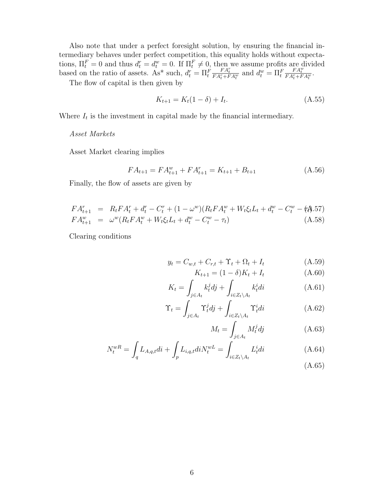Also note that under a perfect foresight solution, by ensuring the financial intermediary behaves under perfect competition, this equality holds without expectations,  $\Pi_t^F = 0$  and thus  $d_t^r = d_t^w = 0$ . If  $\Pi_t^F \neq 0$ , then we assume profits are divided based on the ratio of assets. As\* such,  $d_t^r = \Pi_t^F$  $\frac{FA_t^r}{FA_t^r+FA_t^w}$  and  $d_t^w = \Pi_t^F$  $\frac{FA^w_t}{FA^r_t+FA^w_t}.$ 

The flow of capital is then given by

$$
K_{t+1} = K_t(1 - \delta) + I_t.
$$
\n(A.55)

Where  $I_t$  is the investment in capital made by the financial intermediary.

#### Asset Markets

Asset Market clearing implies

$$
FA_{t+1} = FA_{t+1}^w + FA_{t+1}^r = K_{t+1} + B_{t+1}
$$
\n(A.56)

Finally, the flow of assets are given by

$$
FA_{t+1}^r = R_tFA_t^r + d_t^r - C_t^r + (1 - \omega^w)(R_tFA_t^w + W_t\xi_tL_t + d_t^w - C_t^w - \xi_t^a).57)
$$
  
\n
$$
FA_{t+1}^w = \omega^w(R_tFA_t^w + W_t\xi_tL_t + d_t^w - C_t^w - \tau_t)
$$
\n(A.58)

Clearing conditions

$$
y_t = C_{w,t} + C_{r,t} + \Upsilon_t + \Omega_t + I_t \tag{A.59}
$$

$$
K_{t+1} = (1 - \delta)K_t + I_t
$$
 (A.60)

$$
K_t = \int_{j \in A_t} k_t^j dj + \int_{i \in Z_t \setminus A_t} k_t^i di \tag{A.61}
$$

$$
\Upsilon_t = \int_{j \in A_t} \Upsilon_t^j dj + \int_{i \in Z_t \setminus A_t} \Upsilon_t^i di \tag{A.62}
$$

$$
M_t = \int_{j \in A_t} M_t^j dj \tag{A.63}
$$

$$
N_t^{wR} = \int_q L_{A,q,t} dt + \int_p L_{i,q,t} dt N_t^{wL} = \int_{i \in Z_t \backslash A_t} L_t^i dt \tag{A.64}
$$

(A.65)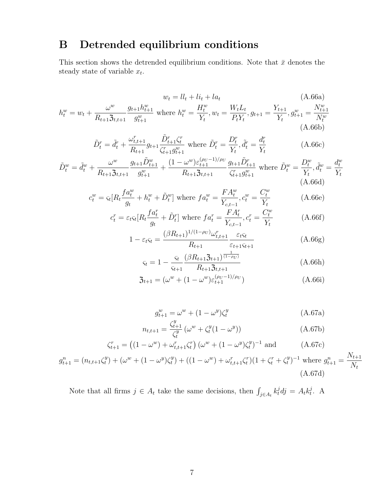# B Detrended equilibrium conditions

This section shows the detrended equilibrium conditions. Note that  $\bar{x}$  denotes the steady state of variable  $x_t$ .

$$
w_{t} = ll_{t} + li_{t} + la_{t}
$$
\n(A.66a)  
\n
$$
h_{t}^{w} = w_{t} + \frac{\omega^{w}}{R_{t+1}\mathfrak{Z}_{t,t+1}}\frac{g_{t+1}h_{t+1}^{w}}{g_{t+1}^{w}} \text{ where } h_{t}^{w} = \frac{H_{t}^{w}}{Y_{t}}, w_{t} = \frac{W_{t}L_{t}}{P_{t}Y_{t}}, g_{t+1} = \frac{Y_{t+1}}{Y_{t}}, g_{t+1}^{w} = \frac{N_{t+1}^{w}}{N_{t}^{w}} \tag{A.66b}
$$

$$
\tilde{D}_t^r = \tilde{d}_t^r + \frac{\omega_{t,t+1}^r}{R_{t+1}} g_{t+1} \frac{\tilde{D}_{t+1}^r \zeta_t^r}{\zeta_{t+1}^r g_{t+1}^w} \text{ where } \tilde{D}_t^r = \frac{D_t^r}{Y_t}, \tilde{d}_t^r = \frac{d_t^r}{Y_t}
$$
\n(A.66c)

$$
\tilde{D}_{t}^{w} = \tilde{d}_{t}^{w} + \frac{\omega^{w}}{R_{t+1}\mathfrak{Z}_{t,t+1}} \frac{g_{t+1}\tilde{D}_{t+1}^{w}}{g_{t+1}^{w}} + \frac{(1-\omega^{w})\varepsilon_{t+1}^{(\rho_{U}-1)/\rho_{U}}}{R_{t+1}\mathfrak{Z}_{t,t+1}} \frac{g_{t+1}\tilde{D}_{t+1}^{r}}{\zeta_{t+1}^{r}g_{t+1}^{w}} \text{ where } \tilde{D}_{t}^{w} = \frac{D_{t}^{w}}{Y_{t}}, \tilde{d}_{t}^{w} = \frac{d_{t}^{w}}{Y_{t}}.
$$
\n(A.66d)

$$
c_t^w = \varsigma_t [R_t \frac{f a_t^w}{g_t} + h_t^w + \tilde{D}_t^w] \text{ where } f a_t^w = \frac{F A_t^w}{Y_{c,t-1}}, c_t^w = \frac{C_t^w}{Y_t}
$$
(A.66e)

$$
c_t^r = \varepsilon_t \varsigma_t [R_t \frac{f a_t^r}{g_t} + \tilde{D}_t^r] \text{ where } f a_t^r = \frac{F A_t^r}{Y_{c,t-1}}, c_t^r = \frac{C_t^w}{Y_t}
$$
(A.66f)

$$
1 - \varepsilon_t \varsigma_t = \frac{(\beta R_{t+1})^{1/(1-\rho_U)} \omega_{t,t+1}^r}{R_{t+1}} \frac{\varepsilon_t \varsigma_t}{\varepsilon_{t+1} \varsigma_{t+1}}
$$
(A.66g)

$$
\varsigma_t = 1 - \frac{\varsigma_t}{\varsigma_{t+1}} \frac{(\beta R_{t+1} \mathfrak{Z}_{t+1})^{\overline{(1-\rho_U)}}}{R_{t+1} \mathfrak{Z}_{t,t+1}}
$$
(A.66h)

$$
\mathfrak{Z}_{t+1} = (\omega^w + (1 - \omega^w)\varepsilon_{t+1}^{(\rho_U - 1)/\rho_U})
$$
(A.66i)

$$
g_{t+1}^w = \omega^w + (1 - \omega^y)\zeta_t^y
$$
 (A.67a)

$$
n_{t,t+1} = \frac{\zeta_{t+1}^y}{\zeta_t^y} \left(\omega^w + \zeta_t^y (1 - \omega^y)\right)
$$
 (A.67b)

$$
\zeta_{t+1}^r = \left( (1 - \omega^w) + \omega_{t,t+1}^r \zeta_t^r \right) (\omega^w + (1 - \omega^y) \zeta_t^y)^{-1} \text{ and } \tag{A.67c}
$$

$$
g_{t+1}^n = (n_{t,t+1}\zeta_t^y) + (\omega^w + (1 - \omega^y)\zeta_t^y) + ((1 - \omega^w) + \omega_{t,t+1}^r\zeta_t^r)(1 + \zeta_t^r + \zeta_t^y)^{-1} \text{ where } g_{t+1}^n = \frac{N_{t+1}}{N_t}
$$
\n(A.67d)

Note that all firms  $j \in A_t$  take the same decisions, then  $\int_{j \in A_t} k_t^j dy = A_t k_t^j$  $\frac{\jmath}{t}$ . A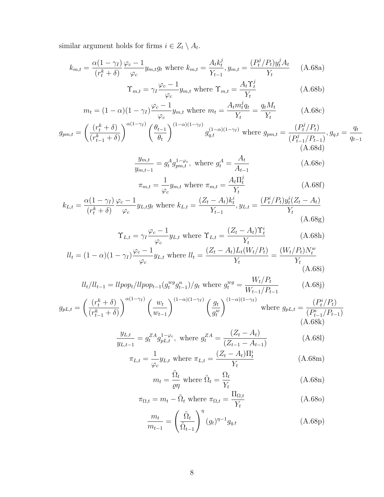similar argument holds for firms  $i \in Z_t \setminus A_t$ .

$$
k_{m,t} = \frac{\alpha (1 - \gamma_I)}{(r_t^k + \delta)} \frac{\varphi_c - 1}{\varphi_c} y_{m,t} g_t \text{ where } k_{m,t} = \frac{A_t k_t^j}{Y_{t-1}}, y_{m,t} = \frac{(P_t^j / P_t) y_t^j A_t}{Y_t} \quad (A.68a)
$$

$$
\Upsilon_{m,t} = \gamma_I \frac{\varphi_c - 1}{\varphi_c} y_{m,t} \text{ where } \Upsilon_{m,t} = \frac{A_t \Upsilon_t^j}{Y_t} \tag{A.68b}
$$

$$
m_t = (1 - \alpha)(1 - \gamma_I)\frac{\varphi_c - 1}{\varphi_c}y_{m,t} \text{ where } m_t = \frac{A_t m_t^j q_t}{Y_t} = \frac{q_t M_t}{Y_t} \tag{A.68c}
$$

$$
g_{pm,t} = \left(\frac{(r_t^k + \delta)}{(r_{t-1}^k + \delta)}\right)^{\alpha(1-\gamma_I)} \left(\frac{\theta_{t-1}}{\theta_t}\right)^{(1-\alpha)(1-\gamma_I)} g_{q,t}^{(1-\alpha)(1-\gamma_I)} \text{ where } g_{pm,t} = \frac{(P_t^j/P_t)}{(P_{t-1}^j/P_{t-1})}, g_{q,t} = \frac{q_t}{q_{t-1}}
$$
\n(A.68d)

$$
\frac{y_{m,t}}{y_{m,t-1}} = g_t^A g_{pm,t}^{1-\varphi_c}, \text{ where } g_t^A = \frac{A_t}{A_{t-1}}
$$
 (A.68e)

$$
\pi_{m,t} = \frac{1}{\varphi_c} y_{m,t} \text{ where } \pi_{m,t} = \frac{A_t \Pi_t^j}{Y_t} \tag{A.68f}
$$

$$
k_{L,t} = \frac{\alpha(1 - \gamma_I)}{(r_t^k + \delta)} \frac{\varphi_c - 1}{\varphi_c} y_{L,t} g_t \text{ where } k_{L,t} = \frac{(Z_t - A_t)k_t^i}{Y_{t-1}}, y_{L,t} = \frac{(P_t^i/P_t)y_t^i(Z_t - A_t)}{Y_t} \tag{A.68g}
$$

$$
\Upsilon_{L,t} = \gamma_I \frac{\varphi_c - 1}{\varphi_c} y_{L,t} \text{ where } \Upsilon_{L,t} = \frac{(Z_t - A_t)\Upsilon_t^i}{Y_t} \tag{A.68h}
$$

$$
ll_{t} = (1 - \alpha)(1 - \gamma_{I}) \frac{\varphi_{c} - 1}{\varphi_{c}} y_{L,t} \text{ where } ll_{t} = \frac{(Z_{t} - A_{t})L_{t}(W_{t}/P_{t})}{Y_{t}} = \frac{(W_{t}/P_{t})N_{t}^{w}}{Y_{t}}
$$
\n(A.68i)

$$
ll_t/ll_{t-1} = l l p o p_t/ l l p o p_{t-1} (g_t^{wg} g_{t-1}^n) / g_t \text{ where } g_t^{wg} = \frac{W_t/P_t}{W_{t-1}/P_{t-1}}
$$
(A.68j)

$$
g_{pL,t} = \left(\frac{(r_t^k + \delta)}{(r_{t-1}^k + \delta)}\right)^{\alpha(1-\gamma_I)} \left(\frac{w_t}{w_{t-1}}\right)^{(1-\alpha)(1-\gamma_I)} \left(\frac{g_t}{g_t^w}\right)^{(1-\alpha)(1-\gamma_I)} \text{ where } g_{pL,t} = \frac{(P_t^i/P_t)}{(P_{t-1}^i/P_{t-1})} \tag{A.68k}
$$

$$
\frac{y_{L,t}}{y_{L,t-1}} = g_t^{ZA} g_{pL,t}^{1-\varphi_c}, \text{ where } g_t^{ZA} = \frac{(Z_t - A_t)}{(Z_{t-1} - A_{t-1})}
$$
(A.681)

$$
\pi_{L,t} = \frac{1}{\varphi_c} y_{L,t} \text{ where } \pi_{L,t} = \frac{(Z_t - A_t)\Pi_t^i}{Y_t} \tag{A.68m}
$$

$$
m_t = \frac{\tilde{\Omega}_t}{\varrho \eta} \text{ where } \tilde{\Omega}_t = \frac{\Omega_t}{Y_t}
$$
 (A.68n)

$$
\pi_{\Omega,t} = m_t - \tilde{\Omega}_t \text{ where } \pi_{\Omega,t} = \frac{\Pi_{\Omega,t}}{Y_t} \tag{A.68o}
$$

$$
\frac{m_t}{m_{t-1}} = \left(\frac{\tilde{\Omega}_t}{\tilde{\Omega}_{t-1}}\right)^{\eta} (g_t)^{\eta-1} g_{q,t} \tag{A.68p}
$$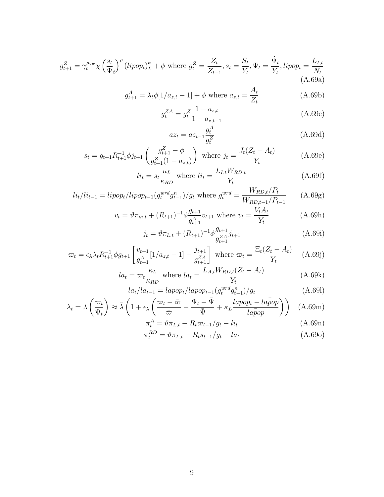$$
g_{t+1}^Z = \gamma_t^{\rho_{yw}} \chi \left(\frac{s_t}{\Psi_t}\right)^{\rho} \left(lipop_t\right)^{\kappa}_L + \phi \text{ where } g_t^Z = \frac{Z_t}{Z_{t-1}}, s_t = \frac{S_t}{Y_t}, \Psi_t = \frac{\tilde{\Psi}_t}{Y_t}, lipop_t = \frac{L_{I,t}}{N_t}
$$
\n(A.69a)

$$
g_{t+1}^{A} = \lambda_{t} \phi[1/a_{z,t} - 1] + \phi \text{ where } a_{z,t} = \frac{A_{t}}{Z_{t}}
$$
 (A.69b)

$$
g_t^{ZA} = g_t^Z \frac{1 - a_{z,t}}{1 - a_{z,t-1}}\tag{A.69c}
$$

$$
az_t = az_{t-1} \frac{g_t^A}{g_t^Z}
$$
 (A.69d)

$$
s_t = g_{t+1} R_{t+1}^{-1} \phi j_{t+1} \left( \frac{g_{t+1}^Z - \phi}{g_{t+1}^Z (1 - a_{z,t})} \right) \text{ where } j_t = \frac{J_t (Z_t - A_t)}{Y_t}
$$
 (A.69e)

$$
li_t = s_t \frac{\kappa_L}{\kappa_{RD}} \text{ where } li_t = \frac{L_{I,t} W_{RD,t}}{Y_t}
$$
\n(A.69f)

$$
li_t/li_{t-1} = lipop_t/lipop_{t-1}(g_t^{wrd}g_{t-1}^n)/g_t \text{ where } g_t^{wrd} = \frac{W_{RD,t}/P_t}{W_{RD,t-1}/P_{t-1}} \qquad (A.69g)
$$

$$
v_t = \vartheta \pi_{m,t} + (R_{t+1})^{-1} \varphi \frac{g_{t+1}}{g_{t+1}^A} v_{t+1} \text{ where } v_t = \frac{V_t A_t}{Y_t} \tag{A.69h}
$$

$$
j_t = \vartheta \pi_{L,t} + (R_{t+1})^{-1} \phi \frac{g_{t+1}}{g_{t+1}^{ZA}} j_{t+1}
$$
 (A.69i)

$$
\varpi_t = \epsilon_\lambda \lambda_t R_{t+1}^{-1} \phi g_{t+1} \left[ \frac{v_{t+1}}{g_{t+1}^A} [1/a_{z,t} - 1] - \frac{j_{t+1}}{g_{t+1}^{ZA}} \right] \text{ where } \varpi_t = \frac{\Xi_t (Z_t - A_t)}{Y_t} \quad (A.69j)
$$

$$
la_t = \varpi_t \frac{\kappa_L}{\kappa_{RD}} \text{ where } la_t = \frac{L_{A,t} W_{RD,t} (Z_t - A_t)}{Y_t} \tag{A.69k}
$$

$$
la_t / la_{t-1} = lappop_t / lapop_{t-1}(g_t^{wrd}g_{t-1}^n) / g_t
$$
\n(A.691)

$$
\lambda_t = \lambda \left( \frac{\varpi_t}{\Psi_t} \right) \approx \bar{\lambda} \left( 1 + \epsilon_\lambda \left( \frac{\varpi_t - \bar{\varpi}}{\bar{\varpi}} - \frac{\Psi_t - \bar{\Psi}}{\bar{\Psi}} + \kappa_L \frac{lapop_t - la\bar{po}p}{lapop} \right) \right) \tag{A.69m}
$$

$$
\pi_t^A = \vartheta \pi_{L,t} - R_t \varpi_{t-1}/g_t - li_t \tag{A.69n}
$$

$$
\pi_t^{RD} = \vartheta \pi_{L,t} - R_t s_{t-1} / g_t - l a_t \tag{A.69o}
$$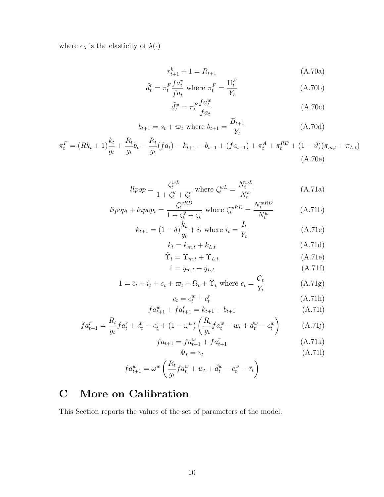where  $\epsilon_\lambda$  is the elasticity of  $\lambda(\cdot)$ 

$$
r_{t+1}^k + 1 = R_{t+1}
$$
 (A.70a)

$$
\tilde{d}_t^r = \pi_t^F \frac{f a_t^r}{f a_t} \text{ where } \pi_t^F = \frac{\Pi_t^F}{Y_t} \tag{A.70b}
$$

$$
\tilde{d}_t^w = \pi_t^F \frac{f a_t^w}{f a_t} \tag{A.70c}
$$

$$
b_{t+1} = s_t + \varpi_t
$$
 where  $b_{t+1} = \frac{B_{t+1}}{Y_t}$  (A.70d)

$$
\pi_t^F = (Rk_t + 1)\frac{k_t}{g_t} + \frac{R_t}{g_t}b_t - \frac{R_t}{g_t}(fa_t) - k_{t+1} - b_{t+1} + (fa_{t+1}) + \pi_t^A + \pi_t^{RD} + (1 - \vartheta)(\pi_{m,t} + \pi_{L,t})
$$
\n(A.70e)

$$
llpop = \frac{\zeta_t^{wL}}{1 + \zeta_t^y + \zeta_t^r} \text{ where } \zeta_t^{wL} = \frac{N_t^{wL}}{N_t^w} \tag{A.71a}
$$

$$
lipop_t + lapp_t = \frac{\zeta_t^{wRD}}{1 + \zeta_t^y + \zeta_t^r} \text{ where } \zeta_t^{wRD} = \frac{N_t^{wRD}}{N_t^w} \tag{A.71b}
$$

$$
k_{t+1} = (1 - \delta) \frac{k_t}{g_t} + i_t \text{ where } i_t = \frac{I_t}{Y_t}
$$
 (A.71c)

$$
k_t = k_{m,t} + k_{L,t} \tag{A.71d}
$$

$$
\tilde{\Upsilon}_t = \Upsilon_{m,t} + \Upsilon_{L,t} \tag{A.71e}
$$

$$
1 = y_{m,t} + y_{L,t} \tag{A.71f}
$$

$$
1 = c_t + i_t + s_t + \varpi_t + \tilde{\Omega}_t + \tilde{\Upsilon}_t \text{ where } c_t = \frac{C_t}{Y_t}
$$
 (A.71g)

$$
c_t = c_t^w + c_t^r \tag{A.71h}
$$

$$
fa_{t+1}^w + fa_{t+1}^r = k_{t+1} + b_{t+1}
$$
 (A.71i)

$$
fa_{t+1}^r = \frac{R_t}{g_t}fa_t^r + \tilde{d}_t^r - c_t^r + (1 - \omega^w) \left(\frac{R_t}{g_t}fa_t^w + w_t + \tilde{d}_t^w - c_t^w\right)
$$
 (A.71j)

$$
fa_{t+1} = fa_{t+1}^w + fa_{t+1}^r
$$
 (A.71k)

$$
\Psi_t = v_t \tag{A.71l}
$$

$$
fa_{t+1}^w = \omega^w \left( \frac{R_t}{g_t} fa_t^w + w_t + \tilde{d}_t^w - c_t^w - \tilde{\tau}_t \right)
$$

# C More on Calibration

This Section reports the values of the set of parameters of the model.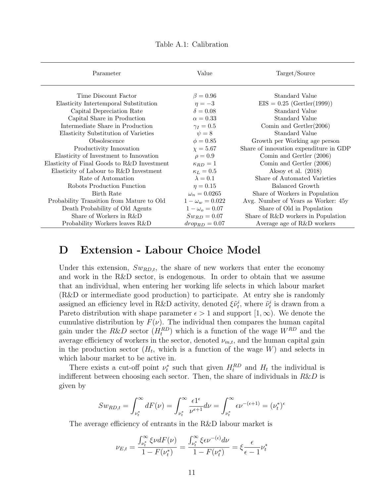| Value                  | Target/Source                          |
|------------------------|----------------------------------------|
| $\beta = 0.96$         | Standard Value                         |
| $\eta = -3$            | $EIS = 0.25$ (Gertler(1999))           |
| $\delta = 0.08$        | Standard Value                         |
| $\alpha = 0.33$        | Standard Value                         |
| $\gamma_I=0.5$         | Comin and $Gertler(2006)$              |
| $\psi = 8$             | Standard Value                         |
| $\phi = 0.85$          | Growth per Working age person          |
| $\chi = 5.67$          | Share of innovation expenditure in GDP |
| $\rho = 0.9$           | Comin and Gertler (2006)               |
| $\kappa_{RD} = 1$      | Comin and Gertler (2006)               |
| $\kappa_L=0.5$         | Aksoy et al. $(2018)$                  |
| $\lambda = 0.1$        | Share of Automated Varieties           |
| $\eta = 0.15$          | Balanced Growth                        |
| $\omega_n = 0.0265$    | Share of Workers in Population         |
| $1 - \omega_w = 0.022$ | Avg. Number of Years as Worker: 45y    |
| $1 - \omega_o = 0.07$  | Share of Old in Population             |
| $Sw_{RD} = 0.07$       | Share of R&D workers in Population     |
| $drop_{RD} = 0.07$     | Average age of R&D workers             |
|                        |                                        |

Table A.1: Calibration

## D Extension - Labour Choice Model

Under this extension,  $Sw_{RD,t}$ , the share of new workers that enter the economy and work in the R&D sector, is endogenous. In order to obtain that we assume that an individual, when entering her working life selects in which labour market (R&D or intermediate good production) to participate. At entry she is randomly assigned an efficiency level in R&D activity, denoted  $\xi \tilde{\nu}_t^i$ , where  $\tilde{\nu}_t^i$  is drawn from a Pareto distribution with shape parameter  $\epsilon > 1$  and support  $[1, \infty)$ . We denote the cumulative distribution by  $F(\nu)$ . The individual then compares the human capital gain under the  $R\&D$  sector  $(H_t^{RD})$  which is a function of the wage  $W^{RD}$  and the average efficiency of workers in the sector, denoted  $\nu_{m,t}$ , and the human capital gain in the production sector  $(H_t)$ , which is a function of the wage W) and selects in which labour market to be active in.

There exists a cut-off point  $\nu_t^*$  such that given  $H_t^{RD}$  and  $H_t$  the individual is indifferent between choosing each sector. Then, the share of individuals in  $R\&D$  is given by

$$
Sw_{RD,t} = \int_{\nu_t^*}^{\infty} dF(\nu) = \int_{\nu_t^*}^{\infty} \frac{\epsilon \mathbf{1}^{\epsilon}}{\nu^{\epsilon+1}} d\nu = \int_{\nu_t^*}^{\infty} \epsilon \nu^{-(\epsilon+1)} = (\nu_t^*)^{\epsilon}
$$

The average efficiency of entrants in the R&D labour market is

$$
\nu_{E,t} = \frac{\int_{\nu_t^*}^{\infty} \xi \nu dF(\nu)}{1 - F(\nu_t^*)} = \frac{\int_{\nu_t^*}^{\infty} \xi \epsilon \nu^{-(\epsilon)} d\nu}{1 - F(\nu_t^*)} = \xi \frac{\epsilon}{\epsilon - 1} \nu_t^*
$$